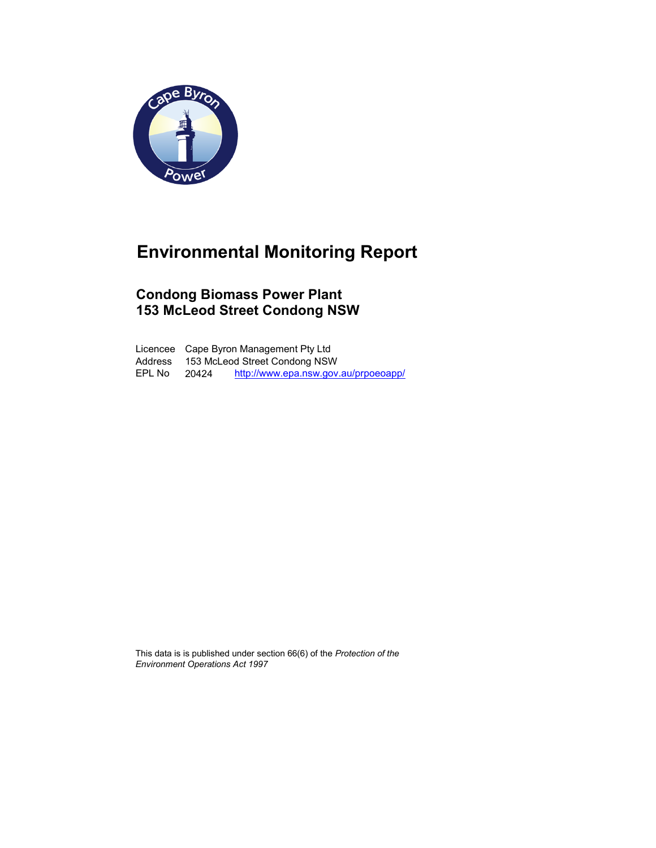

## Environmental Monitoring Report

### Condong Biomass Power Plant 153 McLeod Street Condong NSW

Licencee Cape Byron Management Pty Ltd Address 153 McLeod Street Condong NSW EPL No 20424 http://www.epa.nsw.gov.au/prpoeoapp/

This data is is published under section 66(6) of the Protection of the Environment Operations Act 1997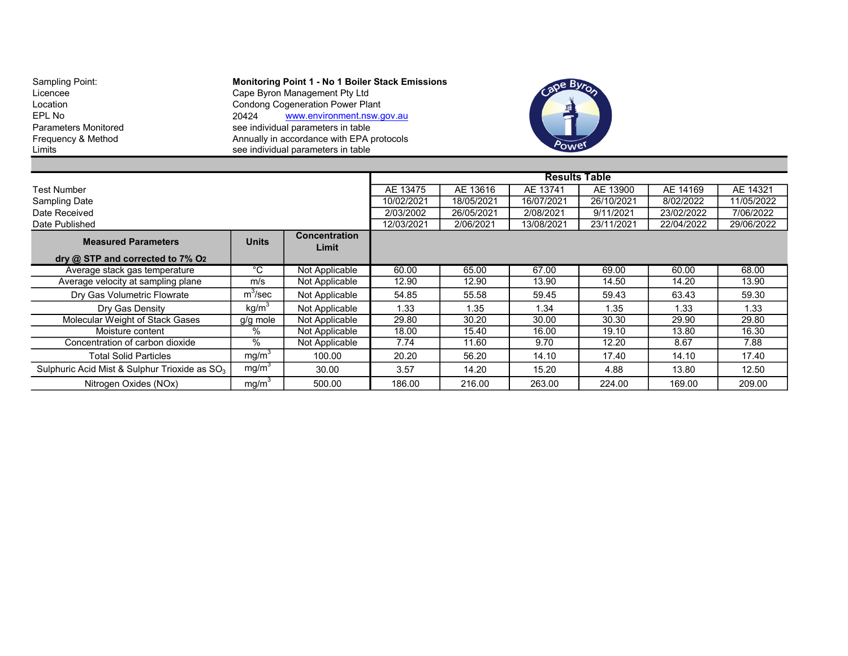Sampling Point: The Monitoring Point 1 - No 1 Boiler Stack Emissions Licencee Cape Byron Management Pty Ltd Location Condong Cogeneration Power Plant EPL No<br>
Parameters Monitored example and the see individual parameters in table<br>
See individual parameters in table Parameters Monitored see individual parameters in table<br>
Frequency & Method See individual parameters in table<br>
Annually in accordance with EPA p Frequency & Method **Annually in accordance with EPA protocols** Limits see individual parameters in table



|                                                           |                                |                      |            |            | <b>Results Table</b> |            |            |            |
|-----------------------------------------------------------|--------------------------------|----------------------|------------|------------|----------------------|------------|------------|------------|
| <b>Test Number</b>                                        |                                |                      | AE 13475   | AE 13616   | AE 13741             | AE 13900   | AE 14169   | AE 14321   |
| <b>Sampling Date</b>                                      |                                |                      | 10/02/2021 | 18/05/2021 | 16/07/2021           | 26/10/2021 | 8/02/2022  | 11/05/2022 |
| Date Received                                             |                                |                      | 2/03/2002  | 26/05/2021 | 2/08/2021            | 9/11/2021  | 23/02/2022 | 7/06/2022  |
| Date Published                                            |                                |                      | 12/03/2021 | 2/06/2021  | 13/08/2021           | 23/11/2021 | 22/04/2022 | 29/06/2022 |
| <b>Measured Parameters</b>                                | <b>Units</b>                   | <b>Concentration</b> |            |            |                      |            |            |            |
|                                                           |                                | Limit                |            |            |                      |            |            |            |
| dry $@$ STP and corrected to $7\%$ O <sub>2</sub>         |                                |                      |            |            |                      |            |            |            |
| Average stack gas temperature                             | $^{\circ} \overline{\text{C}}$ | Not Applicable       | 60.00      | 65.00      | 67.00                | 69.00      | 60.00      | 68.00      |
| Average velocity at sampling plane                        | m/s                            | Not Applicable       | 12.90      | 12.90      | 13.90                | 14.50      | 14.20      | 13.90      |
| Dry Gas Volumetric Flowrate                               | $m^3$ /sec                     | Not Applicable       | 54.85      | 55.58      | 59.45                | 59.43      | 63.43      | 59.30      |
| Dry Gas Density                                           | kg/m <sup>3</sup>              | Not Applicable       | 1.33       | 1.35       | 1.34                 | 1.35       | 1.33       | 1.33       |
| Molecular Weight of Stack Gases                           | g/g mole                       | Not Applicable       | 29.80      | 30.20      | 30.00                | 30.30      | 29.90      | 29.80      |
| Moisture content                                          | $\%$                           | Not Applicable       | 18.00      | 15.40      | 16.00                | 19.10      | 13.80      | 16.30      |
| Concentration of carbon dioxide                           | $\%$                           | Not Applicable       | 7.74       | 11.60      | 9.70                 | 12.20      | 8.67       | 7.88       |
| <b>Total Solid Particles</b>                              | mg/m <sup>3</sup>              | 100.00               | 20.20      | 56.20      | 14.10                | 17.40      | 14.10      | 17.40      |
| Sulphuric Acid Mist & Sulphur Trioxide as SO <sub>3</sub> | mg/m <sup>3</sup>              | 30.00                | 3.57       | 14.20      | 15.20                | 4.88       | 13.80      | 12.50      |
| Nitrogen Oxides (NOx)                                     | mg/m <sup>3</sup>              | 500.00               | 186.00     | 216.00     | 263.00               | 224.00     | 169.00     | 209.00     |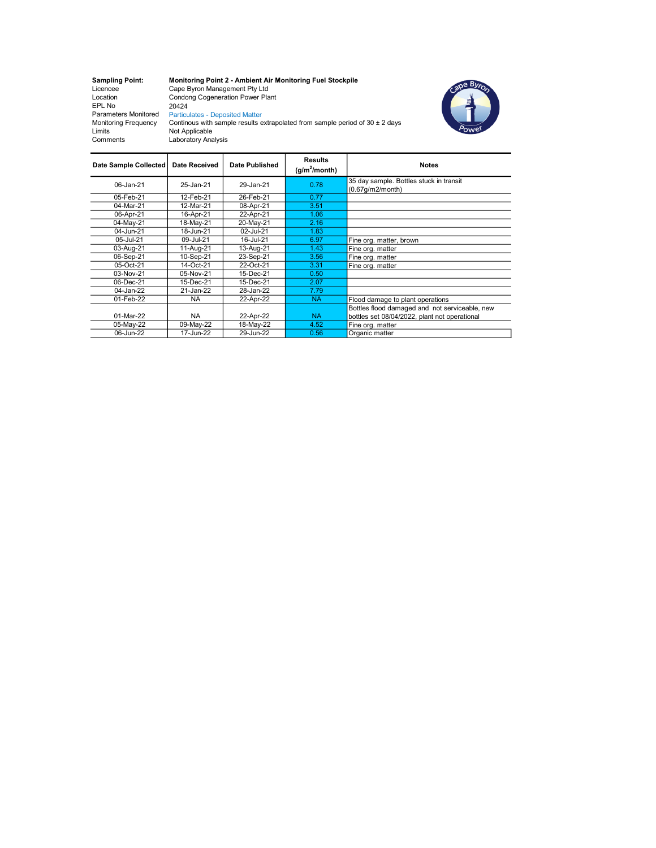EPL No 20424 Parameters Monitored Particulates - Deposited Matter Monitoring Frequency Limits Not Applicable Comments Laboratory Analysis

Sampling Point: Monitoring Point 2 - Ambient Air Monitoring Fuel Stockpile Licencee Cape Byron Management Pty Ltd Location Condong Cogeneration Power Plant



Continous with sample results extrapolated from sample period of  $30 \pm 2$  days

| Date Sample Collected | <b>Date Received</b> | Date Published | <b>Results</b><br>$(g/m^2/m$ onth) | <b>Notes</b>                                                   |
|-----------------------|----------------------|----------------|------------------------------------|----------------------------------------------------------------|
| 06-Jan-21             | 25-Jan-21            | 29-Jan-21      | 0.78                               | 35 day sample. Bottles stuck in transit<br>$(0.67q/m2/m$ onth) |
| 05-Feb-21             | 12-Feb-21            | 26-Feb-21      | 0.77                               |                                                                |
| 04-Mar-21             | 12-Mar-21            | 08-Apr-21      | 3.51                               |                                                                |
| 06-Apr-21             | 16-Apr-21            | 22-Apr-21      | 1.06                               |                                                                |
| 04-May-21             | 18-May-21            | 20-May-21      | 2.16                               |                                                                |
| 04-Jun-21             | 18-Jun-21            | 02-Jul-21      | 1.83                               |                                                                |
| 05-Jul-21             | 09-Jul-21            | 16-Jul-21      | 6.97                               | Fine org. matter, brown                                        |
| 03-Aug-21             | 11-Aug-21            | 13-Aug-21      | 1.43                               | Fine org. matter                                               |
| 06-Sep-21             | 10-Sep-21            | 23-Sep-21      | 3.56                               | Fine org. matter                                               |
| 05-Oct-21             | 14-Oct-21            | 22-Oct-21      | 3.31                               | Fine org. matter                                               |
| 03-Nov-21             | 05-Nov-21            | 15-Dec-21      | 0.50                               |                                                                |
| 06-Dec-21             | 15-Dec-21            | 15-Dec-21      | 2.07                               |                                                                |
| 04-Jan-22             | 21-Jan-22            | 28-Jan-22      | 7.79                               |                                                                |
| 01-Feb-22             | <b>NA</b>            | 22-Apr-22      | <b>NA</b>                          | Flood damage to plant operations                               |
|                       |                      |                |                                    | Bottles flood damaged and not serviceable, new                 |
| 01-Mar-22             | <b>NA</b>            | 22-Apr-22      | <b>NA</b>                          | bottles set 08/04/2022, plant not operational                  |
| 05-May-22             | 09-May-22            | 18-May-22      | 4.52                               | Fine org. matter                                               |
| 06-Jun-22             | 17-Jun-22            | 29-Jun-22      | 0.56                               | Organic matter                                                 |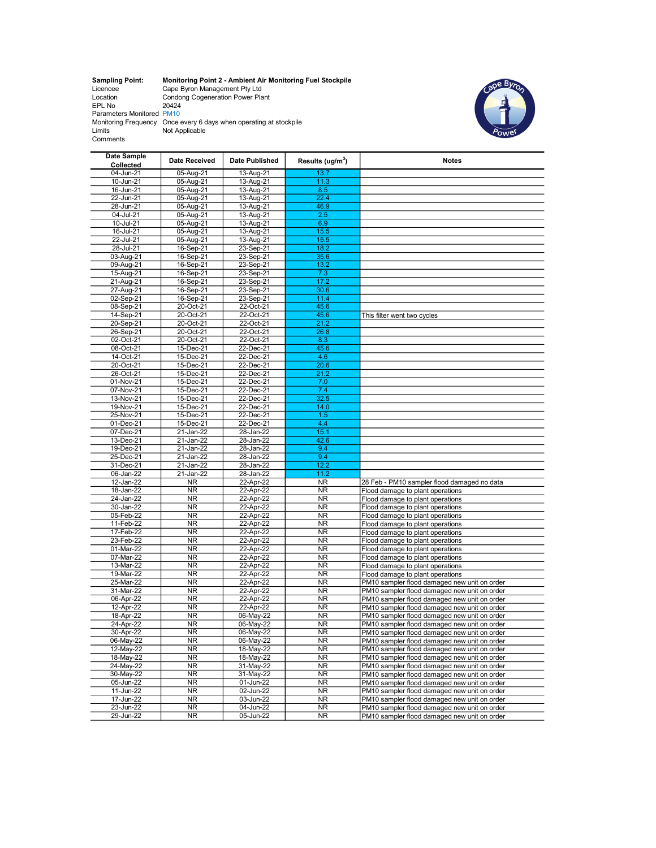Sampling Point: Monitoring Point 2 - Ambient Air Monitoring Fuel Stockpile<br>
Licencee Cape Byron Management Pty Ltd<br>
Location Condong Cogeneration Power Plant<br>
EPL No 20424<br>
Parameters Monitored PM10<br>
Monitoring Frequency O



| Date Sample<br>Collected | Date Received          | Date Published            | Results (ug/m <sup>3</sup> ) | <b>Notes</b>                                                                                 |
|--------------------------|------------------------|---------------------------|------------------------------|----------------------------------------------------------------------------------------------|
| 04-Jun-21                | 05-Aug-21              | 13-Aug-21                 | 13.7                         |                                                                                              |
| 10-Jun-21                | 05-Aug-21              | $13 - Aug-21$             | 11.3                         |                                                                                              |
| 16-Jun-21                | 05-Aug-21              | 13-Aug-21                 | 8.5                          |                                                                                              |
| 22-Jun-21                | 05-Aug-21              | 13-Aug-21                 | 22.4                         |                                                                                              |
| 28-Jun-21                | 05-Aug-21              | 13-Aug-21                 | 46.9                         |                                                                                              |
| 04-Jul-21                | 05-Aug-21              | 13-Aug-21                 | 2.5                          |                                                                                              |
| 10-Jul-21                | 05-Aug-21              | 13-Aug-21                 | 6.9                          |                                                                                              |
| 16-Jul-21                | 05-Aug-21              | 13-Aug-21                 | 15.5                         |                                                                                              |
| 22-Jul-21                | 05-Aug-21              | 13-Aug-21                 | 15.5                         |                                                                                              |
| 28-Jul-21                | 16-Sep-21              | 23-Sep-21                 | 18.2                         |                                                                                              |
| 03-Aug-21                | 16-Sep-21              | 23-Sep-21                 | 35.6                         |                                                                                              |
| 09-Aug-21                | 16-Sep-21              | 23-Sep-21                 | 13.2                         |                                                                                              |
| 15-Aug-21                | 16-Sep-21              | 23-Sep-21                 | 7.3                          |                                                                                              |
| 21-Aug-21                | 16-Sep-21              | 23-Sep-21                 | 17.2                         |                                                                                              |
| 27-Aug-21                | 16-Sep-21              | 23-Sep-21                 | 30.6                         |                                                                                              |
| 02-Sep-21                | 16-Sep-21              | 23-Sep-21                 | 11.4                         |                                                                                              |
| 08-Sep-21                | 20-Oct-21              | 22-Oct-21                 | 45.6                         |                                                                                              |
| 14-Sep-21                | 20-Oct-21              | 22-Oct-21                 | 45.6                         | This filter went two cycles                                                                  |
| 20-Sep-21                | 20-Oct-21              | 22-Oct-21                 | 21.2                         |                                                                                              |
| 26-Sep-21                | 20-Oct-21              | 22-Oct-21                 | 26.8                         |                                                                                              |
| 02-Oct-21                | 20-Oct-21              | 22-Oct-21                 | 8.3                          |                                                                                              |
| 08-Oct-21                | 15-Dec-21              | 22-Dec-21                 | 45.6                         |                                                                                              |
| 14-Oct-21                | 15-Dec-21              | 22-Dec-21                 | 4.6                          |                                                                                              |
| 20-Oct-21                | 15-Dec-21              | 22-Dec-21                 | 20.6                         |                                                                                              |
| 26-Oct-21                | 15-Dec-21              | 22-Dec-21                 | 21.2                         |                                                                                              |
| $\overline{01}$ -Nov-21  | 15-Dec-21              | 22-Dec-21                 | 7.0                          |                                                                                              |
| 07-Nov-21                | 15-Dec-21              | 22-Dec-21                 | 7.4                          |                                                                                              |
| 13-Nov-21                | 15-Dec-21              | $22$ -Dec-21              | 32.5                         |                                                                                              |
| 19-Nov-21                | 15-Dec-21              | 22-Dec-21                 | 14.0                         |                                                                                              |
| 25-Nov-21<br>01-Dec-21   | 15-Dec-21<br>15-Dec-21 | 22-Dec-21<br>22-Dec-21    | 1.5<br>4.4                   |                                                                                              |
| 07-Dec-21                | 21-Jan-22              | 28-Jan-22                 | 15.1                         |                                                                                              |
| 13-Dec-21                | $21$ -Jan-22           | 28-Jan-22                 | 42.6                         |                                                                                              |
| 19-Dec-21                | 21-Jan-22              | 28-Jan-22                 | 9.4                          |                                                                                              |
| 25-Dec-21                | 21-Jan-22              | 28-Jan-22                 | 9.4                          |                                                                                              |
| 31-Dec-21                | 21-Jan-22              | 28-Jan-22                 | 12.2                         |                                                                                              |
| 06-Jan-22                | 21-Jan-22              | 28-Jan-22                 | 11.2                         |                                                                                              |
| 12-Jan-22                | NR.                    | 22-Apr-22                 | <b>NR</b>                    | 28 Feb - PM10 sampler flood damaged no data                                                  |
| 18-Jan-22                | <b>NR</b>              | 22-Apr-22                 | <b>NR</b>                    | Flood damage to plant operations                                                             |
| 24-Jan-22                | <b>NR</b>              | 22-Apr-22                 | <b>NR</b>                    | Flood damage to plant operations                                                             |
| 30-Jan-22                | <b>NR</b>              | 22-Apr-22                 | <b>NR</b>                    | Flood damage to plant operations                                                             |
| 05-Feb-22                | <b>NR</b>              | 22-Apr-22                 | <b>NR</b>                    | Flood damage to plant operations                                                             |
| 11-Feb-22                | <b>NR</b>              | 22-Apr-22                 | <b>NR</b>                    | Flood damage to plant operations                                                             |
| 17-Feb-22                | <b>NR</b>              | 22-Apr-22                 | <b>NR</b>                    | Flood damage to plant operations                                                             |
| 23-Feb-22                | <b>NR</b>              | 22-Apr-22                 | <b>NR</b>                    | Flood damage to plant operations                                                             |
| 01-Mar-22                | <b>NR</b>              | 22-Apr-22                 | <b>NR</b>                    | Flood damage to plant operations                                                             |
| 07-Mar-22                | <b>NR</b>              | 22-Apr-22                 | <b>NR</b>                    | Flood damage to plant operations                                                             |
| 13-Mar-22                | <b>NR</b>              | 22-Apr-22                 | <b>NR</b>                    | Flood damage to plant operations                                                             |
| 19-Mar-22                | <b>NR</b>              | 22-Apr-22                 | <b>NR</b>                    | Flood damage to plant operations                                                             |
| 25-Mar-22                | <b>NR</b>              | 22-Apr-22                 | <b>NR</b>                    | PM10 sampler flood damaged new unit on order                                                 |
| 31-Mar-22                | <b>NR</b>              | 22-Apr-22                 | <b>NR</b>                    | PM10 sampler flood damaged new unit on order                                                 |
| 06-Apr-22                | <b>NR</b>              | 22-Apr-22                 | <b>NR</b>                    | PM10 sampler flood damaged new unit on order                                                 |
| 12-Apr-22                | <b>NR</b>              | 22-Apr-22                 | <b>NR</b>                    | PM10 sampler flood damaged new unit on order                                                 |
| 18-Apr-22                | <b>NR</b>              | 06-May-22                 | <b>NR</b>                    | PM10 sampler flood damaged new unit on order                                                 |
| 24-Apr-22                | <b>NR</b>              | 06-May-22                 | <b>NR</b>                    | PM10 sampler flood damaged new unit on order                                                 |
| 30-Apr-22                | <b>NR</b>              | 06-May-22                 | <b>NR</b>                    | PM10 sampler flood damaged new unit on order                                                 |
| 06-May-22                | <b>NR</b>              | 06-May-22                 | <b>NR</b>                    | PM10 sampler flood damaged new unit on order                                                 |
| 12-May-22                | <b>NR</b>              | 18-May-22                 | <b>NR</b>                    | PM10 sampler flood damaged new unit on order                                                 |
| 18-May-22                | <b>NR</b>              | 18-May-22                 | <b>NR</b>                    | PM10 sampler flood damaged new unit on order                                                 |
| 24-May-22                | <b>NR</b>              | 31-May-22                 | <b>NR</b>                    | PM10 sampler flood damaged new unit on order                                                 |
| 30-May-22                | <b>NR</b>              | 31-May-22<br>$01$ -Jun-22 | <b>NR</b>                    | PM10 sampler flood damaged new unit on order                                                 |
| 05-Jun-22                | <b>NR</b>              |                           | <b>NR</b>                    | PM10 sampler flood damaged new unit on order                                                 |
| 11-Jun-22<br>17-Jun-22   | <b>NR</b><br>NR        | 02-Jun-22<br>03-Jun-22    | <b>NR</b><br><b>NR</b>       | PM10 sampler flood damaged new unit on order<br>PM10 sampler flood damaged new unit on order |
| 23-Jun-22                | <b>NR</b>              | 04-Jun-22                 | <b>NR</b>                    | PM10 sampler flood damaged new unit on order                                                 |
| 29-Jun-22                | <b>NR</b>              | 05-Jun-22                 | <b>NR</b>                    | PM10 sampler flood damaged new unit on order                                                 |
|                          |                        |                           |                              |                                                                                              |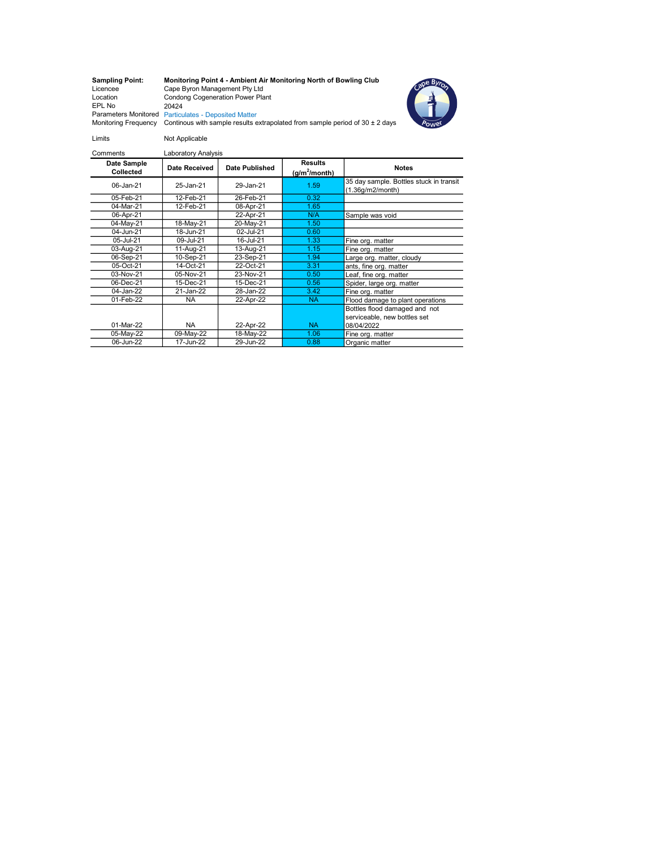## Sampling Point: Monitoring Point 4 - Ambient Air Monitoring North of Bowling Club Licencee Cape Byron Management Pty Ltd Location Condong Cogeneration Power Plant





EPL No<br>Parameters Monitored Particulates - Deposited Matter<br>Monitoring Frequency Continous with sample results extrapolated from sample period of 30 ± 2 days

| Comments                 | Laboratory Analysis |                |                                    |                                                                             |
|--------------------------|---------------------|----------------|------------------------------------|-----------------------------------------------------------------------------|
| Date Sample<br>Collected | Date Received       | Date Published | <b>Results</b><br>$(g/m^2/m$ onth) | <b>Notes</b>                                                                |
| 06-Jan-21                | 25-Jan-21           | 29-Jan-21      | 1.59                               | 35 day sample. Bottles stuck in transit<br>(1.36g/m2/month)                 |
| 05-Feb-21                | 12-Feb-21           | 26-Feb-21      | 0.32                               |                                                                             |
| 04-Mar-21                | 12-Feb-21           | 08-Apr-21      | 1.65                               |                                                                             |
| 06-Apr-21                |                     | 22-Apr-21      | N/A                                | Sample was void                                                             |
| 04-May-21                | 18-May-21           | 20-May-21      | 1.50                               |                                                                             |
| 04-Jun-21                | 18-Jun-21           | 02-Jul-21      | 0.60                               |                                                                             |
| 05-Jul-21                | 09-Jul-21           | 16-Jul-21      | 1.33                               | Fine org. matter                                                            |
| 03-Aug-21                | 11-Aug-21           | 13-Aug-21      | 1.15                               | Fine org. matter                                                            |
| 06-Sep-21                | 10-Sep-21           | 23-Sep-21      | 1.94                               | Large org. matter, cloudy                                                   |
| 05-Oct-21                | 14-Oct-21           | 22-Oct-21      | 3.31                               | ants, fine org. matter                                                      |
| 03-Nov-21                | 05-Nov-21           | 23-Nov-21      | 0.50                               | Leaf, fine org. matter                                                      |
| 06-Dec-21                | 15-Dec-21           | 15-Dec-21      | 0.56                               | Spider, large org. matter                                                   |
| 04-Jan-22                | 21-Jan-22           | 28-Jan-22      | 3.42                               | Fine org. matter                                                            |
| 01-Feb-22                | <b>NA</b>           | 22-Apr-22      | <b>NA</b>                          | Flood damage to plant operations                                            |
| 01-Mar-22                | <b>NA</b>           | 22-Apr-22      | <b>NA</b>                          | Bottles flood damaged and not<br>serviceable, new bottles set<br>08/04/2022 |
| 05-May-22                | 09-May-22           | 18-May-22      | 1.06                               | Fine org. matter                                                            |
| 06-Jun-22                | 17-Jun-22           | 29-Jun-22      | 0.88                               | Organic matter                                                              |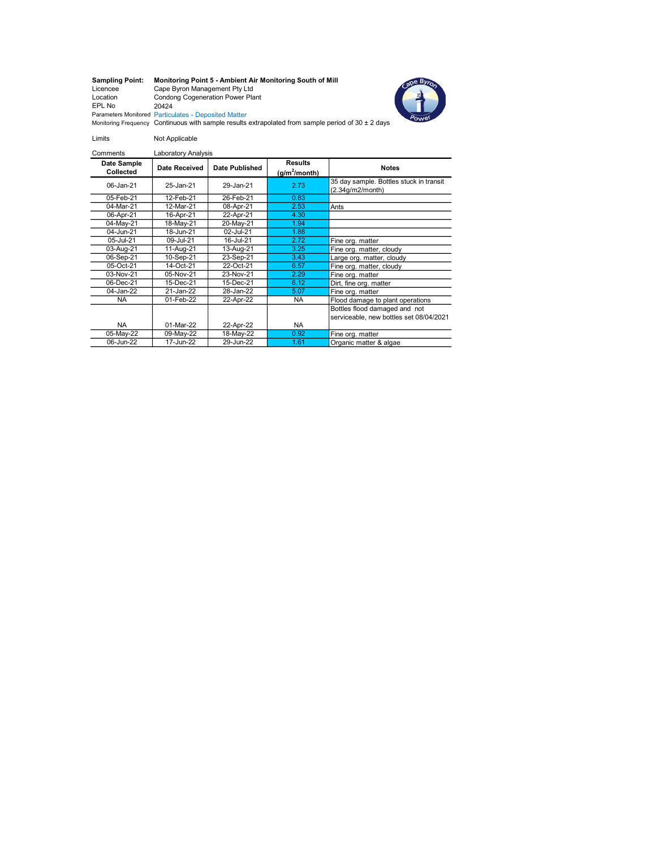# Sampling Point: Monitoring Point 5 - Ambient Air Monitoring South of Mill Licencee Cape Byron Management Pty Ltd Location Condong Cogeneration Power Plant EPL No 20424



Parameters Monitored Particulates - Deposited Matter<br>Monitoring Frequency Continuous with sample results extrapolated from sample period of 30 ± 2 days

Limits Not Applicable

| Comments                 | Laboratory Analysis |                |                                    |                                                                          |
|--------------------------|---------------------|----------------|------------------------------------|--------------------------------------------------------------------------|
| Date Sample<br>Collected | Date Received       | Date Published | <b>Results</b><br>$(g/m^2/m$ onth) | <b>Notes</b>                                                             |
| 06-Jan-21                | 25-Jan-21           | 29-Jan-21      | 2.73                               | 35 day sample. Bottles stuck in transit<br>(2.34g/m2/month)              |
| 05-Feb-21                | 12-Feb-21           | 26-Feb-21      | 0.83                               |                                                                          |
| 04-Mar-21                | 12-Mar-21           | 08-Apr-21      | 2.53                               | Ants                                                                     |
| 06-Apr-21                | 16-Apr-21           | 22-Apr-21      | 4.30                               |                                                                          |
| 04-May-21                | 18-May-21           | 20-May-21      | 1.94                               |                                                                          |
| 04-Jun-21                | 18-Jun-21           | 02-Jul-21      | 1.88                               |                                                                          |
| 05-Jul-21                | 09-Jul-21           | 16-Jul-21      | 2.72                               | Fine org. matter                                                         |
| 03-Aug-21                | 11-Aug-21           | 13-Aug-21      | 3.25                               | Fine org. matter, cloudy                                                 |
| 06-Sep-21                | 10-Sep-21           | 23-Sep-21      | 3.43                               | Large org. matter, cloudy                                                |
| 05-Oct-21                | 14-Oct-21           | 22-Oct-21      | 6.57                               | Fine org. matter, cloudy                                                 |
| 03-Nov-21                | 05-Nov-21           | 23-Nov-21      | 2.29                               | Fine org. matter                                                         |
| 06-Dec-21                | 15-Dec-21           | 15-Dec-21      | 6.12                               | Dirt, fine org. matter                                                   |
| 04-Jan-22                | 21-Jan-22           | 28-Jan-22      | 5.07                               | Fine org. matter                                                         |
| <b>NA</b>                | 01-Feb-22           | 22-Apr-22      | <b>NA</b>                          | Flood damage to plant operations                                         |
| <b>NA</b>                | 01-Mar-22           | 22-Apr-22      | <b>NA</b>                          | Bottles flood damaged and not<br>serviceable, new bottles set 08/04/2021 |
| 05-May-22                | 09-May-22           | 18-May-22      | 0.92                               | Fine org. matter                                                         |
| 06-Jun-22                | 17-Jun-22           | 29-Jun-22      | 1.61                               | Organic matter & algae                                                   |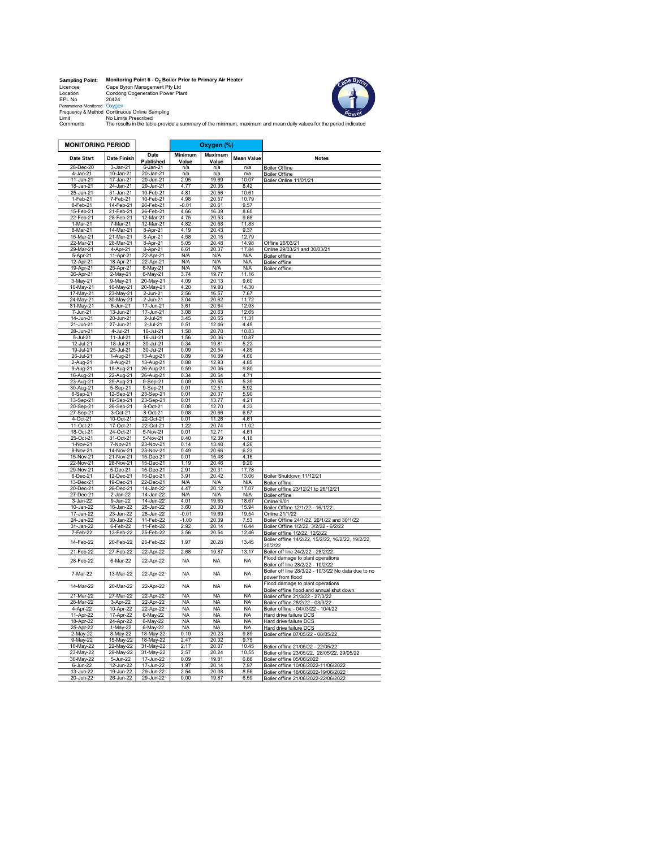| <b>Sampling Point:</b>       | Monitoring Point 6 - O <sub>2</sub> Boiler Prior to Primary Air Heater |
|------------------------------|------------------------------------------------------------------------|
| Licencee                     | Cape Byron Management Pty Ltd                                          |
| Location                     | <b>Condona Cogeneration Power Plant</b>                                |
| FPL No                       | 20424                                                                  |
| Parameter/s Monitored Oxygen |                                                                        |
|                              | Frequency & Method Continuous Online Sampling                          |
| Limit                        | No Limits Prescribed                                                   |
| Commonto                     | The results in the table provide a cumman of the minimum movi          |



The results in the table provide a summary of the minimum, maximum and mean daily values for the period indicated<br>Comments The results in the table provide a summary of the minimum, maximum and mean daily values for the pe

| <b>MONITORING PERIOD</b>   |                            |                        |                | Oxygen (%)         |                   |                                                                               |
|----------------------------|----------------------------|------------------------|----------------|--------------------|-------------------|-------------------------------------------------------------------------------|
|                            |                            |                        | <b>Minimum</b> | <b>Maximum</b>     |                   |                                                                               |
| <b>Date Start</b>          | Date Finish                | Date<br>Published      | Value          | Value              | <b>Mean Value</b> | <b>Notes</b>                                                                  |
| 28-Dec-20                  | 3-Jan-21                   | 6-Jan-21               | n/a            | n/a                | n/a               | <b>Boiler Offline</b>                                                         |
| 4-Jan-21                   | 10-Jan-21                  | 20-Jan-21              | n/a<br>2.95    | n/a<br>19.69       | n/a<br>10.07      | <b>Boiler Offline</b>                                                         |
| 11-Jan-21<br>18-Jan-21     | $17 - Jan-21$<br>24-Jan-21 | 20-Jan-21<br>29-Jan-21 | 4.77           | 20.35              | 8.42              | Boiler Online 11/01/21                                                        |
| 25-Jan-21                  | 31-Jan-21                  | 10-Feb-21              | 4.81           | 20.56              | 10.61             |                                                                               |
| 1-Feb-21                   | 7-Feb-21                   | 10-Feb-21              | 4.98           | 20.57              | 10.79             |                                                                               |
| 8-Feb-21                   | 14-Feb-21                  | 26-Feb-21              | $-0.01$        | 20.61              | 9.57              |                                                                               |
| 15-Feb-21                  | 21-Feb-21                  | 26-Feb-21              | 4.66           | 16.39              | 8.60              |                                                                               |
| 22-Feb-21                  | 28-Feb-21                  | $12-Mar-21$            | 4.75           | 20.53              | 9.68              |                                                                               |
| 1-Mar-21                   | 7-Mar-21                   | 12-Mar-21              | 4.82           | 20.58              | 11.83             |                                                                               |
| 8-Mar-21                   | 14-Mar-21                  | 8-Apr-21               | 4.19           | 20.43              | 9.37<br>12.79     |                                                                               |
| 15-Mar-21                  | 21-Mar-21                  | 8-Apr-21               | 4.58           | 20.15              |                   |                                                                               |
| 22-Mar-21<br>29-Mar-21     | 28-Mar-21                  | 8-Apr-21               | 5.05<br>6.61   | 20.48<br>20.37     | 14.98<br>17.84    | Offline 26/03/21                                                              |
| 5-Apr-21                   | 4-Apr-21<br>11-Apr-21      | 8-Apr-21<br>22-Apr-21  | N/A            | N/A                | N/A               | Online 29/03/21 and 30/03/21<br>Boiler offline                                |
| 12-Apr-21                  | 18-Apr-21                  | 22-Apr-21              | N/A            | N/A                | N/A               | <b>Boiler offline</b>                                                         |
| 19-Apr-21                  | 25-Apr-21                  | 6-May-21               | N/A            | N/A                | N/A               | <b>Boiler offline</b>                                                         |
| 26-Apr-21                  | 2-May-21                   | 6-May-21               | 3.74           | 19.77              | 11.16             |                                                                               |
| 3-May-21                   | 9-May-21                   | 20-May-21              | 4.09           | 20.13              | 9.60              |                                                                               |
| 10-May-21                  | 16-May-21                  | 20-May-21              | 4.20           | 19.80              | 14.30             |                                                                               |
| 17-May-21                  | 23-May-21                  | 2-Jun-21               | 2.56           | 16.57              | 7.67              |                                                                               |
| 24-May-21                  | 30-May-21                  | $2$ -Jun-21            | 3.04           | 20.62              | 11.72             |                                                                               |
| 31-May-21<br>7-Jun-21      | 6-Jun-21<br>13-Jun-21      | 17-Jun-21<br>17-Jun-21 | 3.61<br>3.08   | 20.64<br>20.63     | 12.93<br>12.65    |                                                                               |
| 14-Jun-21                  | $20 - Jun - 21$            | $2 -$ Jul- $21$        | 3.45           | 20.55              | 11.31             |                                                                               |
| 21-Jun-21                  | 27-Jun-21                  | 2-Jul-21               | 0.51           | 12.46              | 4.49              |                                                                               |
| 28-Jun-21                  | $4-Jul-21$                 | 16-Jul-21              | 1.58           | 20.78              | 10.83             |                                                                               |
| $5 -$ Jul-21               | $11 -$ Jul-21              | $16 -$ Jul-21          | 1.56           | 20.36              | 10.87             |                                                                               |
| $12 -$ Jul-21              | 18-Jul-21                  | $30 -$ Jul-21          | 0.34           | 19.81              | 5.22              |                                                                               |
| 19-Jul-21                  | 25-Jul-21                  | 30-Jul-21              | 0.09           | 20.54              | 4.85              |                                                                               |
| 26-Jul-21                  | 1-Aug-21                   | 13-Aug-21              | 0.89           | 10.89              | 4.60              |                                                                               |
| 2-Aug-21                   | 8-Aug-21                   | 13-Aug-21              | 0.88           | 12.93              | 4.85              |                                                                               |
| 9-Aug-21                   | 15-Aug-21                  | 26-Aug-21              | 0.59           | 20.36              | 9.80              |                                                                               |
| 16-Aug-21<br>23-Aug-21     | 22-Aug-21<br>29-Aug-21     | 26-Aug-21<br>9-Sep-21  | 0.34<br>0.09   | 20.54<br>20.55     | 4.71<br>5.39      |                                                                               |
| 30-Aug-21                  | 5-Sep-21                   | 9-Sep-21               | 0.01           | 12.51              | 5.92              |                                                                               |
| $6-Sep-21$                 | 12-Sep-21                  | 23-Sep-21              | 0.01           | $\overline{20.37}$ | 5.90              |                                                                               |
| 13-Sep-21                  | 19-Sep-21                  | 23-Sep-21              | 0.01           | 13.77              | 4.21              |                                                                               |
| 20-Sep-21                  | 26-Sep-21                  | 8-Oct-21               | 0.08           | 12.70              | 4.33              |                                                                               |
| 27-Sep-21                  | 3-Oct-21                   | 8-Oct-21               | 0.08           | 20.66              | 6.57              |                                                                               |
| 4-Oct-21                   | 10-Oct-21                  | 22-Oct-21              | 0.01           | 11.26              | 4.61              |                                                                               |
| 11-Oct-21                  | 17-Oct-21                  | 22-Oct-21              | 122            | 20.74              | 11.02             |                                                                               |
| 18-Oct-21                  | 24-Oct-21                  | 5-Nov-21<br>$5-Nov-21$ | 0.01<br>0.40   | 12.71              | 4.61              |                                                                               |
| 25-Oct-21<br>1-Nov-21      | 31-Oct-21<br>7-Nov-21      | 23-Nov-21              | 0.14           | 12.39<br>13.48     | 4.18<br>4.26      |                                                                               |
| 8-Nov-21                   | 14-Nov-21                  | 23-Nov-21              | 0.49           | 20.66              | 6.23              |                                                                               |
| 15-Nov-21                  | 21-Nov-21                  | 15-Dec-21              | 0.01           | 15.48              | 4.16              |                                                                               |
| 22-Nov-21                  | 28-Nov-21                  | 15-Dec-21              | 1.19           | 20.46              | 9.20              |                                                                               |
| 29-Nov-21                  | 5-Dec-21                   | 15-Dec-21              | 2.91           | 20.31              | 17.78             |                                                                               |
| $6-Dec-21$                 | 12-Dec-21                  | 15-Dec-21              | 3.91           | 20.42              | 13.06             | Boiler Shutdown 11/12/21                                                      |
| 13-Dec-21                  | 19-Dec-21                  | 22-Dec-21              | N/A            | N/A                | N/A               | <b>Boiler offline</b>                                                         |
| 20-Dec-21                  | 26-Dec-21                  | 14-Jan-22              | 4.47           | 20.12              | 17.07             | Boiler offline 23/12/21 to 26/12/21                                           |
| 27-Dec-21                  | $2 - Jan-22$               | $14 - Jan-22$          | N/A            | N/A                | N/A               | Boiler offline                                                                |
| 3-Jan-22                   | 9-Jan-22                   | 14-Jan-22              | 4.01<br>3.60   | 19.65              | 18.67<br>15.94    | Online 9/01                                                                   |
| $10 - Jan-22$<br>17-Jan-22 | 16-Jan-22<br>23-Jan-22     | 28-Jan-22<br>28-Jan-22 | $-0.01$        | 20.30<br>19.69     | 19.54             | Boiler Offline 12/1/22 - 16/1/22<br>Online 21/1/22                            |
| 24-Jan-22                  | 30-Jan-22                  | 11-Feb-22              | $-1.00$        | 20.39              | 7.53              | Boiler Offline 24/1/22, 26/1/22 and 30/1/22                                   |
| 31-Jan-22                  | $6$ -Feb-22                | 11-Feb-22              | 2.92           | 20.14              | 16.44             |                                                                               |
| 7-Feb-22                   | 13-Feb-22                  | 25-Feb-22              | 3.56           | 20.54              | 12.46             | Boiler Offline 1/2/22, 3/2/22 - 6/2/22<br>Boiler offline 1/2/22, 12/2/22      |
|                            |                            |                        |                |                    |                   | Boiler offline 14/2/22, 15/2/22, 16/2/22, 19/2/22,                            |
| 14-Feb-22                  | 20-Feb-22                  | 25-Feb-22              | 1.97           | 20.28              | 13.45             | 20/2/22                                                                       |
| 21-Feb-22                  | 27-Feb-22                  | 22-Apr-22              | 2.68           | 19.87              | 13.17             | Boiler off line 24/2/22 - 28/2/22                                             |
| 28-Feb-22                  | 6-Mar-22                   | 22-Apr-22              | <b>NA</b>      | <b>NA</b>          | <b>NA</b>         | Flood damage to plant operations                                              |
|                            |                            |                        |                |                    |                   | Boiler off line 28/2/22 - 10/2/22                                             |
| 7-Mar-22                   | 13-Mar-22                  | 22-Apr-22              | <b>NA</b>      | <b>NA</b>          | <b>NA</b>         | Boiler off line 28/3/22 - 10/3/22 No data due to no                           |
|                            |                            |                        |                |                    |                   | power from flood                                                              |
| 14-Mar-22                  | 20-Mar-22                  | 22-Apr-22              | <b>NA</b>      | <b>NA</b>          | <b>NA</b>         | Flood damage to plant operations<br>Boiler offline flood and annual shut down |
| 21-Mar-22                  | 27-Mar-22                  | 22-Apr-22              | <b>NA</b>      | <b>NA</b>          | <b>NA</b>         | Boiler offline 21/3/22 - 27/3/22                                              |
| 28-Mar-22                  | 3-Apr-22                   | 22-Apr-22              | <b>NA</b>      | <b>NA</b>          | <b>NA</b>         | Boiler offline 28/2/22 - 03/3/22                                              |
| 4-Apr-22                   | 10-Apr-22                  | 22-Apr-22              | <b>NA</b>      | <b>NA</b>          | <b>NA</b>         | Boiler offline - 04/03/22 - 10/4/22                                           |
| 11-Apr-22                  | 17-Apr-22                  | 6-May-22               | <b>NA</b>      | <b>NA</b>          | <b>NA</b>         | Hard drive failure DCS                                                        |
| 18-Apr-22                  | 24-Apr-22                  | $6$ -May-22            | <b>NA</b>      | <b>NA</b>          | <b>NA</b>         | Hard drive failure DCS                                                        |
| 25-Apr-22                  | 1-May-22                   | 6-May-22               | <b>NA</b>      | <b>NA</b>          | <b>NA</b>         | Hard drive failure DCS                                                        |
| 2-May-22                   | 8-May-22                   | 18-May-22              | 0.19           | $\overline{20.23}$ | 9.89              | Boiler offline 07/05/22 - 08/05/22                                            |
| 9-May-22                   | 15-May-22                  | 18-May-22              | 2.47           | 20.32              | 9.75              |                                                                               |
| 16-May-22                  | 22-May-22                  | 31-May-22              | 2.17<br>2.57   | 20.07              | 10.45             | Bolier offline 21/05/22 - 22/05/22                                            |
| 23-May-22<br>30-May-22     | 29-May-22<br>5-Jun-22      | 31-May-22<br>17-Jun-22 | 0.09           | 20.24<br>19.81     | 10.55<br>6.88     | Bolier offline 23/05/22, 28/05/22, 29/05/22<br>Boiler offline 05/06/2022      |
| 6-Jun-22                   | 12-Jun-22                  | 17-Jun-22              | 197            | 20.14              | 7 97              | Boiler offline 10/06/2022-11/06/2022                                          |
| $13 - Jun-22$              | 19-Jun-22                  | 29-Jun-22              | 2.54           | 20.08              | 8.56              | Bolier offline 18/06/2022-19/06/2022                                          |
| 20-Jun-22                  | 26-Jun-22                  | 29-Jun-22              | 0.00           | 19.87              | 6.59              | Boiler offline 21/06/2022-22/06/2022                                          |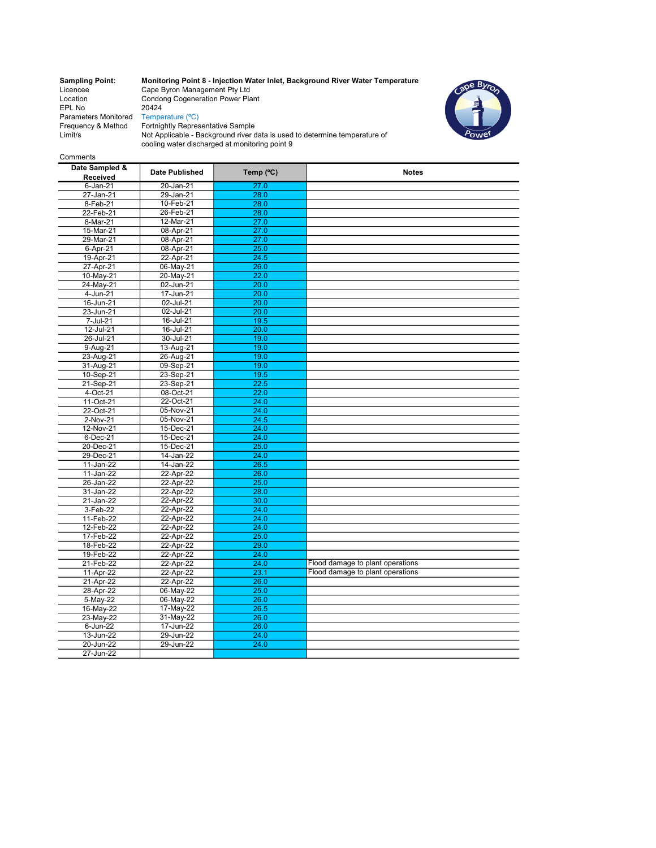Location Condong Cogeneration Power Plant EPL No 20424 Parameters Monitored Temperature (°C) Limit/s

Sampling Point: Monitoring Point 8 - Injection Water Inlet, Background River Water Temperature Licencee Cape Byron Management Pty Ltd



Frequency & Method Fortnightly Representative Sample Not Applicable - Background river data is used to determine temperature of cooling water discharged at monitoring point 9

### Comments

| Date Sampled &<br>Received | <b>Date Published</b> | Temp (°C) | <b>Notes</b>                     |
|----------------------------|-----------------------|-----------|----------------------------------|
| $6 - Jan-21$               | 20-Jan-21             | 27.0      |                                  |
| 27-Jan-21                  | $29$ -Jan-21          | 28.0      |                                  |
| 8-Feb-21                   | 10-Feb-21             | 28.0      |                                  |
| 22-Feb-21                  | 26-Feb-21             | 28.0      |                                  |
| 8-Mar-21                   | 12-Mar-21             | 27.0      |                                  |
| 15-Mar-21                  | 08-Apr-21             | 27.0      |                                  |
| 29-Mar-21                  | 08-Apr-21             | 27.0      |                                  |
| 6-Apr-21                   | 08-Apr-21             | 25.0      |                                  |
| $19 - Apr-21$              | 22-Apr-21             | 24.5      |                                  |
| 27-Apr-21                  | 06-May-21             | 26.0      |                                  |
| 10-May-21                  | 20-May-21             | 22.0      |                                  |
| 24-May-21                  | 02-Jun-21             | 20.0      |                                  |
| $4 - Jun-21$               | 17-Jun-21             | 20.0      |                                  |
| $\overline{16}$ -Jun-21    | 02-Jul-21             | 20.0      |                                  |
| 23-Jun-21                  | 02-Jul-21             | 20.0      |                                  |
| 7-Jul-21                   | 16-Jul-21             | 19.5      |                                  |
| 12-Jul-21                  | 16-Jul-21             | 20.0      |                                  |
| 26-Jul-21                  | 30-Jul-21             | 19.0      |                                  |
| 9-Aug-21                   | 13-Aug-21             | 19.0      |                                  |
| 23-Aug-21                  | 26-Aug-21             | 19.0      |                                  |
| 31-Aug-21                  | 09-Sep-21             | 19.0      |                                  |
| 10-Sep-21                  | 23-Sep-21             | 19.5      |                                  |
| 21-Sep-21                  | 23-Sep-21             | 22.5      |                                  |
| 4-Oct-21                   | 08-Oct-21             | 22.0      |                                  |
| $11-Oct-21$                | 22-Oct-21             | 24.0      |                                  |
| 22-Oct-21                  | 05-Nov-21             | 24.0      |                                  |
| 2-Nov-21                   | 05-Nov-21             | 24.5      |                                  |
| 12-Nov-21                  | 15-Dec-21             | 24.0      |                                  |
| 6-Dec-21                   | 15-Dec-21             | 24.0      |                                  |
| 20-Dec-21                  | 15-Dec-21             | 25.0      |                                  |
| 29-Dec-21                  | 14-Jan-22             | 24.0      |                                  |
| 11-Jan-22                  | 14-Jan-22             | 26.5      |                                  |
| 11-Jan-22                  | 22-Apr-22             | 26.0      |                                  |
| 26-Jan-22                  | 22-Apr-22             | 25.0      |                                  |
| 31-Jan-22                  | 22-Apr-22             | 28.0      |                                  |
| 21-Jan-22                  | 22-Apr-22             | 30.0      |                                  |
| 3-Feb-22                   | 22-Apr-22             | 24.0      |                                  |
| 11-Feb-22                  | 22-Apr-22             | 24.0      |                                  |
| 12-Feb-22                  | 22-Apr-22             | 24.0      |                                  |
| 17-Feb-22                  | 22-Apr-22             | 25.0      |                                  |
| 18-Feb-22                  | 22-Apr-22             | 29.0      |                                  |
| 19-Feb-22                  | 22-Apr-22             | 24.0      |                                  |
| 21-Feb-22                  | 22-Apr-22             | 24.0      | Flood damage to plant operations |
| 11-Apr-22                  | 22-Apr-22             | 23.1      | Flood damage to plant operations |
| 21-Apr-22                  | 22-Apr-22             | 26.0      |                                  |
| 28-Apr-22                  | 06-May-22             | 25.0      |                                  |
| 5-May-22                   | 06-May-22             | 26.0      |                                  |
| 16-May-22                  | 17-May-22             | 26.5      |                                  |
| 23-May-22                  | 31-May-22             | 26.0      |                                  |
| 6-Jun-22                   | 17-Jun-22             | 26.0      |                                  |
| 13-Jun-22                  | 29-Jun-22             | 24.0      |                                  |
| 20-Jun-22                  | 29-Jun-22             | 24.0      |                                  |
| 27-Jun-22                  |                       |           |                                  |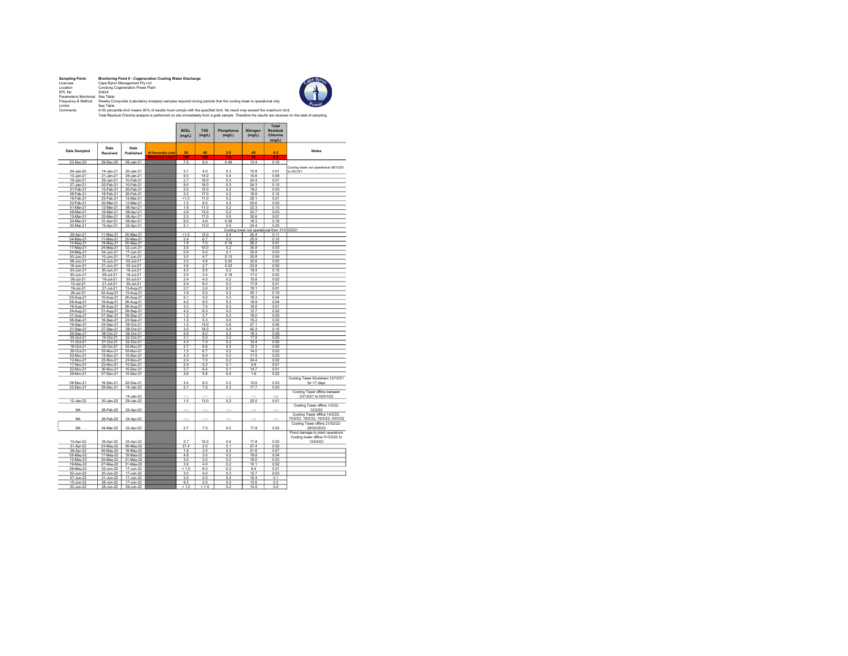| <b>Sampling Point:</b> | Monitoring Point 9 - Cogeneration Cooling Water Discharge                        |
|------------------------|----------------------------------------------------------------------------------|
| Licencee               | Cape Byron Management Pty Ltd                                                    |
| I ocation              | Condong Cogeneration Power Plant                                                 |
| FPI No.                | 20424                                                                            |
| Parameter/s Monitored  | See Table                                                                        |
| Frequency & Method     | Weekly Composite (Laboratory Analysis) samples required during periods that t    |
| I imit/s               | See Table                                                                        |
| Comments               | A 90 percentile limit means 90% of results must comply with the specified limit. |



Frequency & Method Weekly Composte (Laboratory Analysis) samples required during periods that the cooling tower is operational only<br>Umit/s AD percentle limit means 90% of results must comply with the specified limit. No re

 $\overline{a}$ 

|                        |                        |                        |                                      | BOD.<br>(mglL) | <b>TSS</b><br>(mglL) | Phosphorus<br>(mglL) | Nitrogen<br>(mglL) | <b>Total</b><br>Residual<br>Chlorine<br>(mglL) |                                        |
|------------------------|------------------------|------------------------|--------------------------------------|----------------|----------------------|----------------------|--------------------|------------------------------------------------|----------------------------------------|
| Date Sampled           | Date<br>Received       | Date<br>Published      | 90 Percentile Limit<br>Maximum Limit | 30<br>m        | 40<br>m              | 2.5                  | 45                 | 0.3<br>mτ                                      | <b>Notes</b>                           |
| 23-Dec-20              | 29-Dec-20              | 06-Jan-21              |                                      | 7.5            | 8.0                  | 0.46                 | 13.4               | 0.10                                           |                                        |
|                        |                        |                        |                                      | 5.7            | 4.0                  | 0.3                  | 10.8               | 0.01                                           | Cooling tower not operational 26/12/20 |
| 04-Jan-20              | 14-Jan-21<br>21-Jan-21 | 20-Jan-21<br>29-Jan-21 |                                      |                | 14.0                 |                      |                    |                                                | to 3/01/21                             |
| 13-Jan-21<br>19-Jan-21 | 29-Jan-21              | 10-Feb-21              |                                      | 6.0<br>2.7     | 19.0                 | 0.4<br>0.3           | 15.6<br>24.4       | 0.08<br>0.01                                   |                                        |
| 27-Jan-21              | 02-Feb-21              | 10-Feb-21              |                                      | 8.0            | 18.0                 | 0.3                  | 24.3               | 0.10                                           |                                        |
| 01-Feb-21              | 12-Feb-21              | 26-Feb-21              |                                      | 2.0            | 12.0                 | 0.2                  | 19.2               | 0.03                                           |                                        |
| 08-Feb-21              | 18-Feb-21              | 26-Feb-21              |                                      | 2.2            | 17.0                 | 0.2                  | 18.9               | 0.12                                           |                                        |
| 16-Feb-21              | 23-Feb-21              | 12-Mar-21              |                                      | 51.0           | 11.0                 | 0.2                  | 25.1               | 0.01                                           |                                        |
| 22-Feb-21              | 02-Mar-21              | 12-Mar-21              |                                      | 1.3            | 9.0                  | 0.2                  | 25.6               | 0.02                                           |                                        |
| 01-Mar-21              | 12-Mar-21              | 08-Apr-21              |                                      | 1.8            | 11.0                 | 0.2                  | 22.3               | 0.13                                           |                                        |
| 08-Mar-21              | 16-Mar-21              | 08-Apr-21              |                                      | 2.8            | 13.0                 | 02                   | 23.7               | 0.03                                           |                                        |
| 15-Mar-21              | 22-Mar-21              | 08-Apr-21              |                                      | 2.3            | 17.0                 | 0.5                  | 30.6               | 0.01                                           |                                        |
| 24-Mar-21              | 01-Apr-21              | 08-Apr-21              |                                      | 6.5            | 4.6                  | 0.36                 | 16.3               | 0.16                                           |                                        |
| 30-Mar-21              | 15-Apr-21              | 22-Apr-21              |                                      | 5.1            | 13.0                 | 0.6                  | 24.4               | 0.20                                           |                                        |
|                        |                        |                        |                                      |                |                      |                      |                    | Cooling tower not operational from 31/03/2021  |                                        |
| 29-Apr-21              | 11-May-21              | 20-May-21              |                                      | $5 - 1.0$      | 12.0                 | 0.4                  | 20.4               | 0.11                                           |                                        |
| 04-May-21              | 11-May-21              | 20-May-21              |                                      | 2.4            | 6.7<br>7.0           | 0.2                  | 25.9               | 0.10<br>0.01                                   |                                        |
| 10-May-21<br>17-May-21 | 18-May-21<br>24-May-21 | 20-May-21<br>02-Jun-21 |                                      | 1.8<br>3.5     | 10.0                 | 0.18<br>0.2          | 28.2<br>35.9       | 0.03                                           |                                        |
| 24-May-21              | 04-Jun-21              | 17-Jun-21              |                                      | 0.9            | 5.0                  | 0.1                  | 32.8               | 0.03                                           |                                        |
| 03-Jun-21              | 10-Jun-21              | 17-Jun-21              |                                      | 3.0            | 4.7                  | 0.13                 | 33.8               | 0.04                                           |                                        |
| 08-Jun-21              | 15-Jun-21              | 02-Jul-21              |                                      | 3.0            | 46                   | 0.20                 | 32.6               | 0.02                                           |                                        |
| 16-Jun-21              | $21$ -Jun-21           | 02-Jul-21              |                                      | 3.6            | 2.7                  | 0.22                 | 23.8               | 0.02                                           |                                        |
| 23-Jun-21              | 30-Jun-21              | 16-Jul-21              |                                      | 4.5            | 5.0                  | 02                   | 19.4               | 0.10                                           |                                        |
| 30-Jun-21              | 08-Jul-21              | 16-Jul-21              |                                      | 2.5            | 3.0                  | 0.18                 | 17.0               | 0.02                                           |                                        |
| 06-Jul-21              | 16-Jul-21              | 30-Jul-21              |                                      | 2.4            | 4.0                  | $0.\overline{2}$     | 15.8               | 0.02                                           |                                        |
| 13-Jul-21              | $21 - July - 21$       | 30-Jul-21              |                                      | 2.4            | 6.0                  | 0.3                  | 17.8               | 0.01                                           |                                        |
| 19-Jul-21              | 27-Jul-21              | 13-Aug-21              |                                      | 2.7            | 3.0                  | 0.3                  | 19.1               | 0.01                                           |                                        |
| 26-Jul-21              | 02-Aug-21              | 13-Aug-21              |                                      | 1.9            | 5.0                  | 0.3                  | 25.1               | 0.10                                           |                                        |
| 03-Aug-21              | 10-Aug-21              | 26-Aug-21              |                                      | 5.1            | 4.2                  | 0.3                  | 19.3               | 0.04                                           |                                        |
| 09-Aug-21              | 19-Aug-21              | 26-Aug-21              |                                      | 4.2            | 9.0                  | 0.3                  | 16.9               | 0.04                                           |                                        |
| 16-Aug-21              | 26-Aug-21              | 26-Aug-21              |                                      | 3.3            | 7.0                  | 0.3                  | 18.0               | 0.01                                           |                                        |
| 24-Aug-21              | 31-Aug-21              | 09-Sep-21              |                                      | 4.2            | 6.3                  | 0.2                  | 12.7               | 0.02                                           |                                        |
| 31-Aug-21              | 07-Sep-21              | 09-Sep-21              |                                      | 1.2            | 3.7                  | 0.3                  | 16.0               | 0.05                                           |                                        |
| 08-Sep-21              | 16-Sep-21<br>24-Sep-21 | 23-Sep-21<br>08-Oct-21 |                                      | 1.2<br>1.5     | 5.3<br>13.0          | 0.5<br>0.8           | 15.2<br>27.1       | 0.02<br>0.06                                   |                                        |
| 16-Sep-21<br>21-Sep-21 | 27-Sep-21              | 08-Oct-21              |                                      | 3.3            | 16.0                 | 0.9                  | 42.3               | 0.15                                           |                                        |
| 29-Sep-21              | 06-Oct-21              | 08-Oct-21              |                                      | 4.8            | 8.0                  | 0.2                  | 18.3               | 0.09                                           |                                        |
| 05-Oct-21              | 14-Oct-21              | 22-Oct-21              |                                      | 3.1            | 5.0                  | 0.2                  | 17.9               | 0.05                                           |                                        |
| 11-Oct-21              | 21-Oct-21              | 22-Oct-21              |                                      | 4.3            | 7.0                  | 0.2                  | 15.4               | 0.05                                           |                                        |
| 18-Oct-21              | 25-Oct-21              | 05-Nov-21              |                                      | 2.7            | 6.6                  | 0.2                  | 12.3               | 0.05                                           |                                        |
| 26-Oct-21              | 03-Nov-21              | 05-Nov-21              |                                      | 1.5            | 6.7                  | 0.2                  | 14.2               | 0.02                                           |                                        |
| 02-Nov-21              | 12-Nov-21              | 15-Dec-21              |                                      | 4.3            | 9.0                  | 0.2                  | 17.5               | 0.03                                           |                                        |
| 12-Nov-21              | 23-Nov-21              | 23-Nov-21              |                                      | 2.4            | 7.0                  | 0.2                  | 24.4               | 0.02                                           |                                        |
| 17-Nov-21              | 23-Nov-21              | 15-Dec-21              |                                      | 2.4            | 5.2                  | 0.1                  | 9.8                | 0.01                                           |                                        |
| 22-Nov-21              | 30-Nov-21              | 15-Dec-21              |                                      | 2.7            | 6.4                  | 0.1                  | 14.7               | 0.01                                           |                                        |
| 29-Nov-21              | 07-Dec-21              | 15-Dec-21              |                                      | 3.6            | 5.8                  | 0.0                  | 1.6                | 0.02                                           |                                        |
|                        |                        |                        |                                      |                |                      |                      |                    |                                                | Cooling Tower Shutdown 12/12/21        |
| 08-Dec-21              | 16-Dec-21              | 22-Dec-21              |                                      | 3.4            | 8.0                  | 0.2                  | 12.6               | 0.03                                           | for >7 days                            |
| 22-Dec-21              | 29-Dec-21              | 14-Jan-22              |                                      | 2.7            | 7.5                  | 0.3                  | 17.7               | 0.03                                           | Cooling Tower offline between          |
|                        |                        | 14-Jan-22              |                                      | n/a            | nís                  |                      |                    | n/a                                            | 23/12/21 to 03/01/22                   |
| 12-Jan-22              | 20-Jan-22              | 28-Jan-22              |                                      | 1.0            | 13.0                 | 0.2                  | 22.5               | 0.01                                           |                                        |
|                        |                        |                        |                                      |                |                      |                      |                    |                                                | Cooling Tower offline 1/2/22,          |
| <b>NA</b>              | 26-Feb-22              | 22-Apr-22              |                                      | n/a            | n/a                  | n/a                  | n/a                | n/a                                            | 12/2/22                                |
|                        |                        |                        |                                      |                |                      |                      |                    |                                                | Cooling Tower offline 14/2/22,         |
| <b>NA</b>              | 26-Feb-22              | 22-Apr-22              |                                      | n/a            | n/a                  | n/a                  | n/a                | n/a                                            | 15/2/22, 16/2/22, 19/2/22, 20/2/22     |
|                        |                        |                        |                                      |                |                      |                      |                    |                                                | Cooling Tower offline 21/02/22-        |
| <b>NA</b>              | 04-Mar-22              | 22-Apr-22              |                                      | 2.7            | 7.0                  | 0.2                  | 17.8               | 0.02                                           | 28/02/2022                             |
|                        |                        |                        |                                      |                |                      |                      |                    |                                                | Flood damage to plant operations       |
|                        |                        |                        |                                      |                |                      |                      |                    |                                                | Cooling tower offline 01/03/22 to      |
| 13-Apr-22              | 20-Apr-22              | 22-Apr-22              |                                      | 2.7            | 15.0                 | 0.4                  | 17.8               | 0.02                                           | 12/04/22                               |
| 21-Apr-22              | 03-May-22              | 06-May-22              |                                      | 27.4           | 2.0                  | 0.1                  | 27.4               | 0.02                                           |                                        |
| 28-Apr-22              | 06-May-22              | 18-May-22              |                                      | 1.8            | 3.0                  | 0.2                  | 21.6               | 0.07                                           |                                        |
| 05-May-22              | 17-May-22              | 18-May-22              |                                      | 4.8            | 3.0                  | 0.2                  | 19.8               | 0.04                                           |                                        |
| 12-May-22              | 24-May-22              | 31-May-22              |                                      | 3.0            | 2.0                  | 0.2                  | 19.0               | 0.23                                           |                                        |
| 19-May-22              | 27-May-22              | 31-May-22              |                                      | 3.9            | 4.0                  | 0.2                  | 10.1               | 0.02                                           |                                        |
| 26-May-22<br>02-Jun-22 | 03-Jun-22              | 17-Jun-22<br>17-Jun-22 |                                      | < 1.0<br>3.0   | 6.0<br>4.0           | 0.2<br>0.3           | 8.4<br>12.7        | 0.21<br>0.03                                   |                                        |
| 07-Jun-22              | 20-Jun-22<br>21-Jun-22 | 17-Jun-22              |                                      | 3.0            | 2.0                  | 0.2                  | 15.4               | 0.1                                            |                                        |
| 15-Jun-22              | 28-Jun-22              | 17-Jun-22              |                                      | 9.3            | 2.0                  | 0.2                  | 12.6               | 0.2                                            |                                        |
| $22 - \ln n - 22$      | 28-Jun-22              | 29-Jun-22              |                                      | <1.0           | <1.0                 | 0.2                  | 14.5               | 0.0                                            |                                        |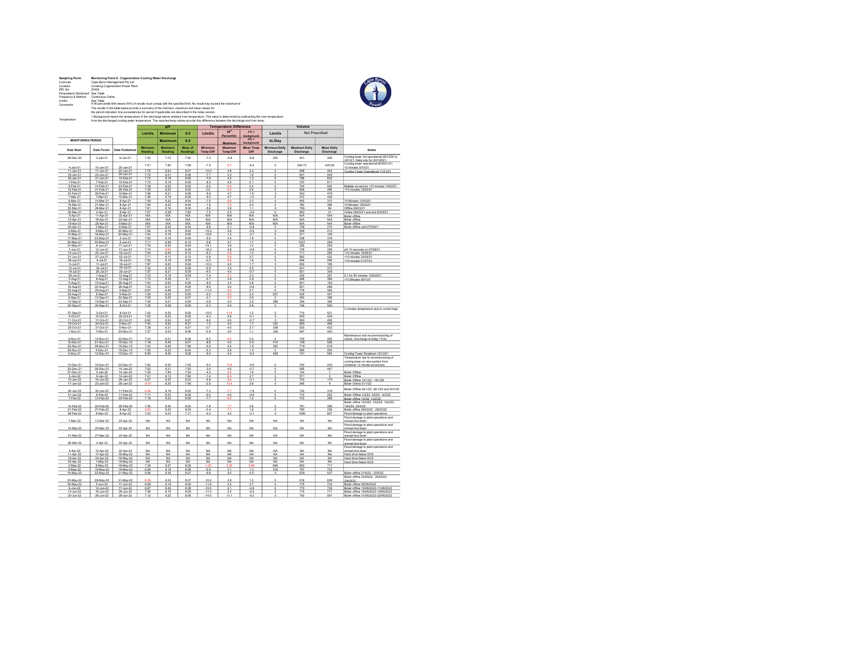| <b>Sampling Point:</b><br>Licencee |                                                                                                                                                                                                                                                                                             | Monitoring Point 9 - Cogeneration Cooling Water Discharge<br>Cape Byron Management Pty Ltd                                                     |                        |                     |                   |                       |                  |                             |                                        |                 |                        |                                                                             |  |
|------------------------------------|---------------------------------------------------------------------------------------------------------------------------------------------------------------------------------------------------------------------------------------------------------------------------------------------|------------------------------------------------------------------------------------------------------------------------------------------------|------------------------|---------------------|-------------------|-----------------------|------------------|-----------------------------|----------------------------------------|-----------------|------------------------|-----------------------------------------------------------------------------|--|
| Location<br>EPL No                 | 20424                                                                                                                                                                                                                                                                                       | Condong Cogeneration Power Plant                                                                                                               |                        |                     |                   |                       |                  |                             |                                        |                 |                        |                                                                             |  |
| Parameter/s Monitored              | See Table                                                                                                                                                                                                                                                                                   |                                                                                                                                                |                        |                     |                   |                       |                  |                             |                                        |                 |                        |                                                                             |  |
| Frequency & Method<br>Limitis      | Continuous Online                                                                                                                                                                                                                                                                           |                                                                                                                                                |                        |                     |                   |                       |                  |                             |                                        |                 |                        |                                                                             |  |
| Comments                           |                                                                                                                                                                                                                                                                                             | See Table<br>See Table<br>A 90 percentile limit means 90% of results must comply with the specified limit. No result may exceed the maximum li |                        |                     |                   |                       |                  |                             |                                        |                 |                        |                                                                             |  |
|                                    | The results in the table below provide a summary of the minimum, maximum and mean values for<br>the period indicated. Any exceedances for period if applicable are described in the notes section.                                                                                          |                                                                                                                                                |                        |                     |                   |                       |                  |                             |                                        |                 |                        |                                                                             |  |
|                                    |                                                                                                                                                                                                                                                                                             |                                                                                                                                                |                        |                     |                   |                       |                  |                             |                                        |                 |                        |                                                                             |  |
| Temperature                        | > Background means the temperature of the discharge above ambient river temperature. This value is determined by subtracting the river temperature<br>from the discharged cooling water temperature. The reported temp values provide this difference between the discharge and river temp. |                                                                                                                                                |                        |                     |                   |                       |                  |                             |                                        |                 |                        |                                                                             |  |
|                                    | <b>Temperature Difference</b><br>Volume<br>DH                                                                                                                                                                                                                                               |                                                                                                                                                |                        |                     |                   |                       |                  |                             |                                        |                 |                        |                                                                             |  |
|                                    | 90 <sup>m</sup><br>$3^{\circ}C >$<br>Not Prescribed<br><b>Limit/s</b><br>Minimum<br>6.5<br><b>Limit/s</b><br>Limit/s                                                                                                                                                                        |                                                                                                                                                |                        |                     |                   |                       |                  |                             |                                        |                 |                        |                                                                             |  |
|                                    |                                                                                                                                                                                                                                                                                             |                                                                                                                                                |                        |                     |                   |                       | Percentile       | ackground                   |                                        |                 |                        |                                                                             |  |
| <b>MONITORING PERIOD</b>           |                                                                                                                                                                                                                                                                                             |                                                                                                                                                |                        | <b>Maximum</b>      | 8.5               |                       | Maximum          | $5^{\circ}$ C ><br>ckground | kL/Day                                 |                 |                        |                                                                             |  |
|                                    |                                                                                                                                                                                                                                                                                             |                                                                                                                                                | Minimum                |                     | Mean of           | Minimum               | Maximum          | <b>Mean Temp</b>            | Minimum Daily                          | Maximum Daily   | Mean Daily             |                                                                             |  |
| <b>Date Start</b>                  | Date Finish                                                                                                                                                                                                                                                                                 | <b>Date Published</b>                                                                                                                          | Reading                | Reading             | Readings          | <b>Temp Diff</b>      | <b>Temp Diff</b> | Diff                        | Discharge                              | Discharge       | Discharge              | Notes                                                                       |  |
| 28-Dec-20                          | $3 - Jan-21$                                                                                                                                                                                                                                                                                | 6-Jan-21                                                                                                                                       | 7.52                   | 7.72                | 7.62              | $-7.3$                | $-0.8$           | $-6.8$                      | 200                                    | 401             | 395                    | Cooling tower not operational 26/12/20 to                                   |  |
|                                    |                                                                                                                                                                                                                                                                                             |                                                                                                                                                | 7.51                   | 7.82                | 7.69              | $-7.0$                | 6.7              | $-6.4$                      | $\theta$                               | 594.72          | 425.45                 | 3/01/21. Data only for 3/01/2021<br>Cooling tower operational til 06/01/21  |  |
| $4$ -Jan-21                        | $10 - Jan-21$                                                                                                                                                                                                                                                                               | 20-Jan-21                                                                                                                                      |                        |                     |                   |                       |                  |                             |                                        |                 |                        | <2 minutes 5/01/21                                                          |  |
| 11-Jan-21<br>$18$ -Jan-21          | 17-Jan-21<br>24-Jan-21                                                                                                                                                                                                                                                                      | 20-Jan-21<br>29-Jan-21                                                                                                                         | 7.76<br>7.70           | 8.24<br>8.21        | 8.07<br>8.05      | $-10.0$<br>$-7.7$     | 4.9<br>4.3       | 2.2<br>1.6                  | $^{\circ}$<br>$\overline{0}$           | 958<br>641      | 424<br>549             | Cooling Tower Operational 11/01/21                                          |  |
| 25-Jan-21                          | 31-Jan-21                                                                                                                                                                                                                                                                                   | 10-Feb-21                                                                                                                                      | 7.74                   | 8.19                | 8.06              | $-7.8$                | 42               | 1.2                         | $\circ$                                | 796             | 632                    |                                                                             |  |
| 1-Feb-21<br>8-Feb-21               | 7-Feb-21<br>14-Feb-21                                                                                                                                                                                                                                                                       | 10-Feb-21<br>23-Feb-21                                                                                                                         | 7.72<br>7.39           | 8.19<br>8.25        | 8.05<br>8.05      | $-8.2$<br>$-9.0$      | 4.0              | 0.1<br>0.4                  | $\circ$<br>ō                           | 727<br>744      | 611<br>542             | Multiple occasions <10 minutes 14/02/21                                     |  |
| 15-Feb-21                          | 21-Feb-21                                                                                                                                                                                                                                                                                   | 26-Feb-21                                                                                                                                      | 7.25                   | 8.22                | 8.05              | 0.5                   | 64               | 2R                          | $\Omega$                               | <b>BOR</b>      | 496                    | <10 minutes 15/02/21                                                        |  |
| 22-Feb-21<br>1-Mar-21              | 28-Feb-21                                                                                                                                                                                                                                                                                   | 12-Mar-21<br>12-Mar-21                                                                                                                         | 7.66<br>7.46           | 8.21                | 8.06<br>8.05      | $-5.9$<br>$-9.0$      | 4.7<br>4.7       | 1.9<br>$-1.0$               | $\circ$                                | 542             | 479<br>428             |                                                                             |  |
| 8-Mar-21                           | 7-Mar-21<br>14-Mar-21                                                                                                                                                                                                                                                                       | 8-Apr-21                                                                                                                                       | 7.59                   | 8.19<br>8.32        | 8.04              | $-7.6$                |                  | 2.3                         | $\Omega$                               | 510<br>465      | 373                    | 10 Minutes 13/03/21                                                         |  |
| 15-Mar-21                          | 21-Mar-21                                                                                                                                                                                                                                                                                   | 8-Apr-21                                                                                                                                       | 7.59                   | 8.23                | 8.04              | $-1.5$                | 7.0              | 2.0                         | $^{\circ}$                             | 782             | 395                    | 10 Minutes 15/03/21                                                         |  |
| 22-Mar-21<br>29-Mar-21             | 28-Mar-21<br>4-Apr-21                                                                                                                                                                                                                                                                       | 8-Apr-21<br>8-Apr-21                                                                                                                           | 7.81<br>7.57           | 8.16<br>8.28        | 8.06<br>7.82      | $-5.6$<br>$-7.5$      | 3.9<br>0.5       | 1.1<br>$-3.6$               | ö<br>$^{\circ}$                        | 769<br>563      | 84<br>31               | Offine 26/03/21<br>Online 29/03/21 and and 30/03/21                         |  |
| 5-Apr-21                           | 11-Apr-21                                                                                                                                                                                                                                                                                   | 22-Apr-21                                                                                                                                      | N/A                    | N/A                 | N/A               | <b>N/A</b>            | <b>N/A</b>       | N/A                         | N/A                                    | N/A             | N/A                    | <b>Boiler</b> offline                                                       |  |
| 12-Apr-21                          | 18-Apr-21                                                                                                                                                                                                                                                                                   | 22-Apr-21                                                                                                                                      | N/A                    | N/A                 | N/A               | N/A                   | N/A              | N/A                         | N/A                                    | N/A             | N/A                    | Boiler offline                                                              |  |
| 19-Apr-21<br>26-Apr-21             | 25-Apr-21<br>2-May-21                                                                                                                                                                                                                                                                       | 6-May-21<br>6-May-21                                                                                                                           | <b>N/A</b><br>7.67     | N/A<br>8.22         | N/A<br>8.04       | <b>N/A</b><br>$A$ $R$ | N/A<br>2.1       | <b>N/A</b><br>$-0.8$        | N/A<br>$\Omega$                        | N/A<br>709      | <b>N/A</b><br>272      | Boiler offline<br>Boiler offline until 27/04/21                             |  |
| 3-May-21                           | 9-May-21                                                                                                                                                                                                                                                                                    | 20-May-21                                                                                                                                      | 7.64                   | 8.19                | 8.02              | $-15.3$               | 2.6              | $-0.5$                      | $^{\circ}$                             | 649             | 212                    |                                                                             |  |
| 10-May-21<br>17-May-21             | 16-May-21<br>23-May-21                                                                                                                                                                                                                                                                      | 20-May-21<br>$2\overline{\cdot}$ Jun $\overline{\cdot}$ 21                                                                                     | 7.64<br>7.83           | 8.16<br>8.19        | 8.06<br>8.09      | $-15.8$<br>$-90$      | 1.2<br>44        | $-2.7$<br>1R                | 0<br>$\Omega$                          | 571<br>536      | 129<br>376             |                                                                             |  |
| 24-May-21                          | 30-May-21                                                                                                                                                                                                                                                                                   | $2 - Jun-21$                                                                                                                                   | 7.71                   | 8.36                | 8.10              | $-5.8$                | 4.7              | 1.7                         | $\circ$                                | 1021            | 249                    |                                                                             |  |
| 31-May-21<br>7-Jun-21              | $6$ -Jun-21<br>13-Jun-21                                                                                                                                                                                                                                                                    | 17-Jun-21<br>17-Jun-21                                                                                                                         | 7.76<br>7.74           | 8.20                | 8.09<br>8.09      | $-14.1$<br>$-16.3$    | 3.6<br>4.8       | 1.2<br>$-0.6$               | $\circ$<br>$^{\circ}$                  | 555<br>725      | 250<br>256             | oH 10 seconds on 07/06/21                                                   |  |
| $14$ -Jun-21                       | 20-Jun-21                                                                                                                                                                                                                                                                                   | 02-Jul-21                                                                                                                                      | 7.93                   | 8.40                | 8.10              | $-8.2$                | 5.9              | 1.4                         | 0                                      | 711             | 294                    | <10 minutes 16/06/21                                                        |  |
| $21 - Jun-21$                      | 27-Jun-21                                                                                                                                                                                                                                                                                   | 02-Jul-21                                                                                                                                      | 7.71                   | 8.17                | 8.10              | $-0.9$                | 5.9              | 2.7                         | ö                                      | 683             | 432                    | <10 minutes 25/06/21                                                        |  |
| 28-Jun-21<br>$5 -$ Jul-2           | 4-Jul-21<br>$11-Jd-21$                                                                                                                                                                                                                                                                      | 16-Jul-21<br>$16 -$ Jul-21                                                                                                                     | 7.82<br>7.87           | 8.19<br>8.20        | 8.09<br>8.09      | $-4.5$<br>$-10.3$     | 6.9<br>4.0       | 1.6<br>$\overline{1}$       | $^{\circ}$                             | 646<br>653      | 295<br>18 <sub>1</sub> | <10 minutes 01/07/21                                                        |  |
| 12-Jul-21                          | 18-Jul-21                                                                                                                                                                                                                                                                                   | 30-Jul-21                                                                                                                                      | 7.32                   | 8.19                | 8.08              | $-8.9$                | 3.4              | 0.5                         | $\Omega$                               | 641             | 272                    |                                                                             |  |
| 19-Jul-21<br>$26 - 34 - 2$         | 25-Jul-21                                                                                                                                                                                                                                                                                   | 30-Jul-21                                                                                                                                      | 7.57                   | 8.31<br>8.19        | 8.09<br>8.09      | $-9.5$                | 4.0              | $-0.7$                      | $\circ$<br>ō                           | 621<br>439      | 306                    | 5.1 for 50 minutes 1/08/2021                                                |  |
| 2-Aug-21                           | $1-Aug-21$<br>8-Aug-21                                                                                                                                                                                                                                                                      | 13-Aug-21<br>13-Aug-21                                                                                                                         | 7.33<br>7.74           | 8.39                | 8.1               | $-5.7$                | 4.9              | 0.3<br>0.8                  | $\Omega$                               | 668             | 357<br>386             | <10 Minutes 8/01/21                                                         |  |
| $9-Au2-21$                         | 15-Aug-21                                                                                                                                                                                                                                                                                   | 26-Aug-21                                                                                                                                      | 7.60                   | 8.20                | 8.08              | $-8.9$                | 3.4              | 0.8                         | $\circ$                                | 641             | 183                    |                                                                             |  |
| 16-Aug-21<br>23-Aug-21             | 22-Aug-21<br>29-Aug-21                                                                                                                                                                                                                                                                      | 26-Aug-21<br>9-Sep-21                                                                                                                          | 7.32<br>6.97           | 8.31<br>8.48        | 8.09<br>8.07      | $-9.5$<br>$-11.0$     | 4.0<br>5.0       | $-0.6$<br>0.7               | $\circ$<br>$\circ$                     | 621<br>776      | 296<br>383             |                                                                             |  |
| 30-Aug-21                          | 5-Sep-21                                                                                                                                                                                                                                                                                    | 9-Sep-21                                                                                                                                       | 7.26                   | 8.25                | 8.05              | $-2.0$                |                  | 2.3                         | 257                                    | 439             | 407                    |                                                                             |  |
| 6-Sep-21<br>13-Sep-21              | 12-Sep-21<br>19-Sep-21                                                                                                                                                                                                                                                                      | 23-Sep-21<br>23-Sep-21                                                                                                                         | 7.09<br>7.45           | 8.25<br>8.21        | 8.07<br>8.09      | 41<br>$-0.8$          | 5.0<br>4.0       | 09<br>2.5                   | $\Omega$<br>289                        | 450<br>394      | 398<br>366             |                                                                             |  |
| 20-Sep-21                          | 26-Sep-21                                                                                                                                                                                                                                                                                   | 8-Oct-21                                                                                                                                       | 7.35                   | 8.28                | 8.09              | $-2.3$                | 4.0              | 0.8                         | $\circ$                                | 746             | 500                    |                                                                             |  |
| 27-Sep-21                          |                                                                                                                                                                                                                                                                                             | 8-Oct-21                                                                                                                                       | 7.42                   | 8.25                | 8.09              | $-10.5$               |                  | 1.2                         | ò                                      | 710             | 531                    | 2 minutes temperature due to control logic                                  |  |
| 4.0 <sub>ct.21</sub>               | 3-Oct-21<br>10-Oct-21                                                                                                                                                                                                                                                                       | 22.0rt.21                                                                                                                                      | 7.02                   |                     | 8.06              | $-42$                 | つら               | n <sub>1</sub>              | $^{\circ}$                             | 605             | 430                    |                                                                             |  |
| 11-Oct-21                          | 17-Oct-21                                                                                                                                                                                                                                                                                   | 22-Oct-21                                                                                                                                      | 6.62                   | $\frac{8.22}{8.24}$ | 8.07              | $-6.2$                | 4.0              | $-0.7$                      | $\frac{1}{\alpha}$                     | 660             | 492                    |                                                                             |  |
| 18-Oct-21<br>25-Oct-21             | 24-Oct-21<br>31-Oct-21                                                                                                                                                                                                                                                                      | 5-Nov-21<br>5-Nov-21                                                                                                                           | 7.40<br>7.38           | 8.20<br>8.31        | 8.07<br>8.07      | $-1.3$<br>0.7         | 4.0<br>4.0       | 1.7<br>2.7                  | 332<br>308                             | 660<br>633      | 486<br>432             |                                                                             |  |
| 1-Nov-21                           | 7-Nov-21                                                                                                                                                                                                                                                                                    | 23-Nov-21                                                                                                                                      | 7.37                   | 8.23                | 8.08              | $-0.9$                | 4.0              | 1.1                         | 336                                    | 647             | 440                    |                                                                             |  |
| 8-Nov-21                           | 14-Nov-21                                                                                                                                                                                                                                                                                   | 23-Nov-21                                                                                                                                      | 7.43                   | 8.21                | 8.08              | $-8.5$                | 6.0              | 0.5                         | $\circ$                                | 745             | 455                    | Maintenance and recommissioning of<br>valves. Discharge at 6deg <1min       |  |
| 15-Nov-21                          | 21-Nov-21                                                                                                                                                                                                                                                                                   | 15-Dec-12                                                                                                                                      | 7.18                   | 8.45                | 8.07              | $-8.8$                | 4.0              | 0.9                         | 414                                    | 728             | 526                    |                                                                             |  |
| 22-Nov-21<br>29-Nov-21             | 28-Nov-21<br>5-Dec-21                                                                                                                                                                                                                                                                       | 15-Dec-12<br>15-Dec-12                                                                                                                         | 7.43<br>7.55           | 8.45<br>8.23        | 7.96<br>8.04      | $-5.5$<br>$-5.3$      | 4.0<br>3.9       | 1.9<br>1.0                  | 300<br>$^{\circ}$                      | 719<br>680      | 519<br>250             |                                                                             |  |
| 6-Dec-21                           | 12-Dec-21                                                                                                                                                                                                                                                                                   | 15-Dec-12                                                                                                                                      | 6.59                   | 8.20                | 8.08              |                       | 4.0              | $-0.3$                      | 438                                    | 721             | 554                    | Cooling Tower Shutdown 12/12/21                                             |  |
|                                    |                                                                                                                                                                                                                                                                                             |                                                                                                                                                |                        |                     |                   |                       |                  |                             |                                        |                 |                        | Temperature due to recomissioning of                                        |  |
| 13-Dec-21                          | 19-Dec-21                                                                                                                                                                                                                                                                                   | 22-Dec-21                                                                                                                                      | 7.62                   | 8.20                | 7.93              | $-5.0$                |                  | $-0.9$                      |                                        | 700             | 223                    | cooling tower on new system from<br>shutdown <2 minute excursions           |  |
| 20-Dec-21                          | 26-Dec-21                                                                                                                                                                                                                                                                                   | 14-Jan-22                                                                                                                                      | 7.62                   | 8.21                | 7.93              | $-3.4$                | 4.0              | $-0.7$                      | $^{\circ}$                             | 555             | 447                    |                                                                             |  |
| 27-Dec-21<br>3-Jan-22              | $2 - Jan-22$<br>$9$ -Jan-22                                                                                                                                                                                                                                                                 | 14-Jan-22<br>14-Jan-22                                                                                                                         | 7.29<br>7.41           | 7.84<br>8.13        | 7.50<br>7.66      | 43<br>.14             | 84               | 1.9<br>27                   | $\overline{\circ}$<br>$\Omega$         | 134<br>571      | а                      | <b>Boiler Offline</b><br><b>Boiler Offline</b>                              |  |
| 10-Jan-22                          | 16-Jan-22                                                                                                                                                                                                                                                                                   | 28-Jan-22                                                                                                                                      | 6.57                   | 8.20                | 8.02              | $-5.8$                | 5.6              | $-0.1$                      | $\circ$                                | 743             | 179                    | Boiler Offline 12/1/22 - 16/1/22                                            |  |
| 17-Jan-22                          | 23-Jan-22                                                                                                                                                                                                                                                                                   | 28-Jan-22                                                                                                                                      |                        | 8.20                | 7.95              | $-2.6$                | 13.4             | 2.8                         | $\overline{0}$                         | 546             | 9                      | Boiler Online 21/1/22                                                       |  |
| 24-Jan-22                          | 30-Jan-22                                                                                                                                                                                                                                                                                   | 11-Feb-22                                                                                                                                      |                        | 8.19                | 8.04              | $-7.3$                |                  |                             |                                        | 732             | 319                    | Boiler Offline 24/1/22 26/1/22 and 30/1/22                                  |  |
| 31-Jan-22<br>7-Feb-22              | 6-Feb-22                                                                                                                                                                                                                                                                                    | 11-Feb-22                                                                                                                                      | $\frac{7.11}{7.18}$    | 8.23                | 8.08              | $-9.0$                | 4.0              | $-0.9$                      | $\frac{0}{0}$                          | 712             | 253                    | Boiler Offline 1/2/22. 3/2/22 - 6/2/22                                      |  |
|                                    | 13-Feb-22                                                                                                                                                                                                                                                                                   | 25-Feb-22                                                                                                                                      |                        | 8.23                | 8.08              |                       | 6.2              | 1.2                         |                                        | 733             | 359                    | Boiler offline 1/2/22, 12/2/22<br>Boiler offine 14/2/22, 15/2/22, 16/2/22,  |  |
| 14-Feb-22                          | 20-Feb-22                                                                                                                                                                                                                                                                                   | 25-Feb-22                                                                                                                                      | 7.90                   | 8.40                | 8.00              | $-7.9$                | 7.7              | 0.6                         | ö                                      | 761             | 359                    | 19/2/22 20/2/22                                                             |  |
| 21-Feb-22<br>28-Feb.22             | 27-Feb-22<br>6-Mar-22                                                                                                                                                                                                                                                                       | 8-Apr-22<br>8-Apr-22                                                                                                                           | 7.03                   | 8.20<br>8.23        | 8.09<br>717       | $-2.4$<br>43          | 42               | 1.9<br>31                   | ٥<br>$\overline{0}$                    | 769<br>1295     | 239<br>857             | Boiler offline 26/02/22 - 28/02/22                                          |  |
|                                    |                                                                                                                                                                                                                                                                                             |                                                                                                                                                |                        |                     |                   |                       |                  |                             |                                        |                 |                        | Flood damage to plant operations<br>Flood damage to plant operations and    |  |
| 7-Mar-22                           | 13-Mar-22                                                                                                                                                                                                                                                                                   | 22-Apr-22                                                                                                                                      | NA                     | NA                  | NA                | NA                    | NA               | NA                          | NA.                                    | NA              | NA                     | annual shut down                                                            |  |
| 14-Mar-22                          | 20-Mar-22                                                                                                                                                                                                                                                                                   | 22-Apr-22                                                                                                                                      | <b>NA</b>              | NA.                 | <b>NA</b>         | <b>NA</b>             | <b>NA</b>        | <b>NA</b>                   | <b>NA</b>                              | NA.             | <b>NA</b>              | Flood damage to plant operations and<br>annual shut down                    |  |
|                                    |                                                                                                                                                                                                                                                                                             |                                                                                                                                                |                        |                     |                   |                       |                  |                             |                                        |                 |                        | Flood damage to plant operations and                                        |  |
| 21-Mar-22                          | 27-Mar-22                                                                                                                                                                                                                                                                                   | 22-Apr-22                                                                                                                                      | <b>NA</b>              | NA                  | NA                | <b>NA</b>             | NA               | NA                          | NA                                     | NA              | NA                     | annual shut down                                                            |  |
| 28-Mar-22                          | 3-Apr-22                                                                                                                                                                                                                                                                                    | 22-Apr-22                                                                                                                                      | <b>NA</b>              | NA                  | NA                | NA                    | NA               | NA                          | NA                                     | <b>NA</b>       | NA                     | Flood damage to plant operations and<br>annual shut down                    |  |
|                                    |                                                                                                                                                                                                                                                                                             |                                                                                                                                                |                        |                     |                   | NA                    |                  |                             |                                        |                 | NA                     | Flood damage to plant operations and                                        |  |
| 4-Apr-22<br>11-Apr-22              | 10-Apr-22<br>17-Apr-22                                                                                                                                                                                                                                                                      | 22-Apr-22<br>18-May-22                                                                                                                         | <b>NA</b><br><b>NA</b> | NA<br><b>NA</b>     | NA<br><b>NA</b>   | <b>NA</b>             | NA<br>NA         | NA<br>NA                    | NA<br><b>NA</b>                        | NA<br><b>NA</b> | NA                     | annual shut down<br>Hard drive failure DCS                                  |  |
| 18-Apr-22                          | 24-Apr-22                                                                                                                                                                                                                                                                                   | 18-May-22                                                                                                                                      | <b>NA</b>              | <b>NA</b>           | <b>NA</b>         | <b>NA</b>             | NA               | NA                          | NA                                     | <b>NA</b>       | NA                     | Hard drive failure DCS                                                      |  |
| 25-Apr-22<br>2-May-22              | 1-May-22<br>8-May-22                                                                                                                                                                                                                                                                        | 18-May-22<br>18-May-22                                                                                                                         | NA<br>7.29             | NA<br>8.37          | <b>NA</b><br>8.08 | NA                    | NA               | <b>NA</b>                   | NA<br>666                              | NA<br>802       | <b>NA</b><br>717       | Hard drive failure DCS                                                      |  |
| 9-May-22                           | 15-May-22                                                                                                                                                                                                                                                                                   | 18-May-22                                                                                                                                      | 6.99                   | 8.18                | 8.08              | $-5.6$                | 3.1              | 1.3                         | 516                                    | 767             | 722                    |                                                                             |  |
| 16-May-22                          | 22-May-22                                                                                                                                                                                                                                                                                   | 31-May-22                                                                                                                                      | 6.98                   | 8.35                | 8.07              | $-9.8$                | 4.0              | 0.5                         | $\circ$                                | 839             | 527                    | Bolier offline 21/5/22 - 22/5/22                                            |  |
| 23-May-22                          | 29-May-22                                                                                                                                                                                                                                                                                   | 31-May-22                                                                                                                                      |                        | 8.23                | 8.07              | 10.2                  | 2.9              | 10                          | ń                                      | 816             | 629                    | Bolier offline 23/05/22, 28/05/22<br>29/05/22                               |  |
| 30-May-22                          | 5-Jun-22                                                                                                                                                                                                                                                                                    | 17-Jun-22                                                                                                                                      | 6.68                   | 8.19                | 8.09              | .11R                  | 3.2              | 0.7                         | $\Omega$                               | 775             | 732                    | Boiler offline 05/06/2022                                                   |  |
| 6-Jun-22<br>13-Jun-22              | 12-Jun-22<br>19-Jun-22                                                                                                                                                                                                                                                                      | 17-Jun-22<br>29-Jun-22                                                                                                                         | 6.87<br>7.58           | 8.29<br>8.19        | 8.08<br>8.09      | $-10.0$<br>.11.4      | 2.1<br>22        | $-0.8$<br>$-0.5$            | $\underline{\mathfrak{o}}$<br>$\Omega$ | 773<br>772      | 729<br>717             | Boiler offine 10/06/2022-11/06/2022<br>Bolier offline 18/06/2022-19/06/2022 |  |
| 20-Jun-22                          | 26-Jun-22                                                                                                                                                                                                                                                                                   | 29-Jun-22                                                                                                                                      | 7.12                   | 8.22                | 8.08              | $-14.5$               | $-0.1$           | $-4.2$                      | ٥                                      | 742             | 591                    | Boiler offline 21/06/2022-22/06/2022                                        |  |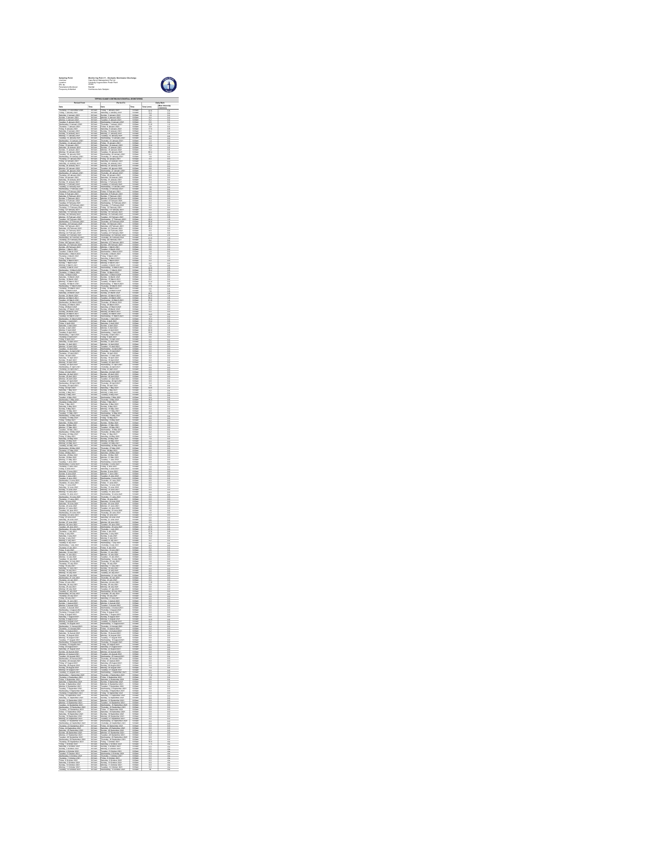| Sampling<br>Licenses<br>Location<br>EPL No<br>Francesco<br>Françaiser<br>ieris Mo<br>cy & Mo                                                                                                                                                                          |                                                                                                                                                                                                                                                                                             | Mondaring Paint 11 - Stockpile S<br>Cape Ryron Management Pty Ltd<br>Condong Cogenezation Pawer Plant<br>92424<br>Routinux – Tri                                                                                                                        | 0                                                                                                                                                                                                                             |                                                    |                                                                                                                                                                                                                                                                                                           |  |
|-----------------------------------------------------------------------------------------------------------------------------------------------------------------------------------------------------------------------------------------------------------------------|---------------------------------------------------------------------------------------------------------------------------------------------------------------------------------------------------------------------------------------------------------------------------------------------|---------------------------------------------------------------------------------------------------------------------------------------------------------------------------------------------------------------------------------------------------------|-------------------------------------------------------------------------------------------------------------------------------------------------------------------------------------------------------------------------------|----------------------------------------------------|-----------------------------------------------------------------------------------------------------------------------------------------------------------------------------------------------------------------------------------------------------------------------------------------------------------|--|
| 3 0<br>so<br>a pi<br>a To                                                                                                                                                                                                                                             |                                                                                                                                                                                                                                                                                             |                                                                                                                                                                                                                                                         |                                                                                                                                                                                                                               |                                                    | ty b                                                                                                                                                                                                                                                                                                      |  |
| Date<br>Thursday, 21 December<br>Friday, 1. January 2021                                                                                                                                                                                                              | 'n                                                                                                                                                                                                                                                                                          | Date<br>Friday, 1. January 2021<br>Systems: 2. January 2021                                                                                                                                                                                             | 600a                                                                                                                                                                                                                          | Tetal (mm)<br>22.1                                 | g                                                                                                                                                                                                                                                                                                         |  |
| $rac{1}{\sqrt{2001}}$<br>$rac{100}{\sqrt{2001}}$<br>l                                                                                                                                                                                                                 |                                                                                                                                                                                                                                                                                             |                                                                                                                                                                                                                                                         | $\frac{600}{100}$                                                                                                                                                                                                             |                                                    |                                                                                                                                                                                                                                                                                                           |  |
|                                                                                                                                                                                                                                                                       | $\frac{9.054}{9.054}$                                                                                                                                                                                                                                                                       |                                                                                                                                                                                                                                                         | 9 00a                                                                                                                                                                                                                         | Ë                                                  | $\frac{1}{2}$                                                                                                                                                                                                                                                                                             |  |
|                                                                                                                                                                                                                                                                       | $\frac{9.051}{9.051}$                                                                                                                                                                                                                                                                       |                                                                                                                                                                                                                                                         | 쁪                                                                                                                                                                                                                             |                                                    |                                                                                                                                                                                                                                                                                                           |  |
|                                                                                                                                                                                                                                                                       | 9 01am<br>9 01am<br>9 01am<br>9 01am<br>9 01am<br>9 01am                                                                                                                                                                                                                                    |                                                                                                                                                                                                                                                         | 9 004<br>9 004<br>9 004<br>9 004<br>9 004<br>9 004                                                                                                                                                                            | E E BE E BE E                                      | 1422422                                                                                                                                                                                                                                                                                                   |  |
|                                                                                                                                                                                                                                                                       |                                                                                                                                                                                                                                                                                             |                                                                                                                                                                                                                                                         | m                                                                                                                                                                                                                             |                                                    |                                                                                                                                                                                                                                                                                                           |  |
|                                                                                                                                                                                                                                                                       | $3014$<br>$3014$<br>$3014$<br>$3014$<br>$3014$<br>$3014$<br>$3014$                                                                                                                                                                                                                          |                                                                                                                                                                                                                                                         | 6 Wa<br>5 00a<br>5 00a<br>5 00a<br>5 00a<br>5 00a                                                                                                                                                                             | Ë                                                  | Ë                                                                                                                                                                                                                                                                                                         |  |
|                                                                                                                                                                                                                                                                       |                                                                                                                                                                                                                                                                                             |                                                                                                                                                                                                                                                         |                                                                                                                                                                                                                               | ü                                                  | ü                                                                                                                                                                                                                                                                                                         |  |
|                                                                                                                                                                                                                                                                       | $rac{35}{100}$                                                                                                                                                                                                                                                                              |                                                                                                                                                                                                                                                         | $rac{1}{2}$                                                                                                                                                                                                                   |                                                    |                                                                                                                                                                                                                                                                                                           |  |
|                                                                                                                                                                                                                                                                       | $\frac{9.054}{9.054}$                                                                                                                                                                                                                                                                       |                                                                                                                                                                                                                                                         | 9 00a                                                                                                                                                                                                                         |                                                    | <b>EXAMPLE</b>                                                                                                                                                                                                                                                                                            |  |
|                                                                                                                                                                                                                                                                       | $rac{9.058}{9.058}$                                                                                                                                                                                                                                                                         |                                                                                                                                                                                                                                                         | 쁪                                                                                                                                                                                                                             |                                                    |                                                                                                                                                                                                                                                                                                           |  |
|                                                                                                                                                                                                                                                                       | 9 01am<br>9 01am<br>9 01am<br>9 01am<br>9 01am<br>9 01am                                                                                                                                                                                                                                    |                                                                                                                                                                                                                                                         | 9 00at<br>9 00at<br>9 00at<br>9 00at<br>9 00at                                                                                                                                                                                | $\frac{1}{2}$                                      |                                                                                                                                                                                                                                                                                                           |  |
|                                                                                                                                                                                                                                                                       |                                                                                                                                                                                                                                                                                             |                                                                                                                                                                                                                                                         |                                                                                                                                                                                                                               |                                                    | $-2222222$                                                                                                                                                                                                                                                                                                |  |
|                                                                                                                                                                                                                                                                       |                                                                                                                                                                                                                                                                                             |                                                                                                                                                                                                                                                         |                                                                                                                                                                                                                               |                                                    |                                                                                                                                                                                                                                                                                                           |  |
|                                                                                                                                                                                                                                                                       | 97544<br>9.0144<br>9.0144<br>9.0144<br>9.0144                                                                                                                                                                                                                                               |                                                                                                                                                                                                                                                         | 6 Wa<br>5 00a<br>5 00a<br>5 00a<br>5 00a<br>5 00a                                                                                                                                                                             | $\frac{1}{2}$                                      | Ë                                                                                                                                                                                                                                                                                                         |  |
|                                                                                                                                                                                                                                                                       |                                                                                                                                                                                                                                                                                             |                                                                                                                                                                                                                                                         |                                                                                                                                                                                                                               | ü                                                  | ü                                                                                                                                                                                                                                                                                                         |  |
|                                                                                                                                                                                                                                                                       | Ē                                                                                                                                                                                                                                                                                           |                                                                                                                                                                                                                                                         | $rac{1}{2}$                                                                                                                                                                                                                   | 普通                                                 | $\frac{1}{2}$                                                                                                                                                                                                                                                                                             |  |
|                                                                                                                                                                                                                                                                       | $\frac{9.054}{9.054}$                                                                                                                                                                                                                                                                       |                                                                                                                                                                                                                                                         | 9 00a                                                                                                                                                                                                                         |                                                    |                                                                                                                                                                                                                                                                                                           |  |
|                                                                                                                                                                                                                                                                       | $\frac{2.051}{2.051}$                                                                                                                                                                                                                                                                       |                                                                                                                                                                                                                                                         | 쁪                                                                                                                                                                                                                             |                                                    |                                                                                                                                                                                                                                                                                                           |  |
|                                                                                                                                                                                                                                                                       | 9 01am<br>9 01am<br>9 01am<br>9 01am<br>9 01am<br>9 01am                                                                                                                                                                                                                                    |                                                                                                                                                                                                                                                         | 9 00at<br>9 00at<br>9 00at<br>9 00at<br>9 00at                                                                                                                                                                                |                                                    | 412年1月11日                                                                                                                                                                                                                                                                                                 |  |
|                                                                                                                                                                                                                                                                       |                                                                                                                                                                                                                                                                                             |                                                                                                                                                                                                                                                         | $\overline{\mathbf{z}}$                                                                                                                                                                                                       |                                                    |                                                                                                                                                                                                                                                                                                           |  |
|                                                                                                                                                                                                                                                                       | $\begin{array}{l} 0.0144 \\ 0.0144 \\ 0.0144 \\ 0.0144 \\ 0.0144 \\ 0.0144 \\ 0.0144 \\ 0.0144 \\ 0.0144 \\ 0.0144 \\ 0.0144 \\ 0.0144 \\ 0.0144 \\ 0.0144 \\ 0.0144 \\ 0.0144 \\ 0.0144 \\ 0.0144 \\ 0.0144 \\ 0.0144 \\ 0.0144 \\ 0.0144 \\ 0.0144 \\ 0.0144 \\ 0.0144 \\ 0.0144 \\ 0.01$ |                                                                                                                                                                                                                                                         | 6 Wa<br>5 00a<br>5 00a<br>5 00a<br>5 00a<br>5 00a                                                                                                                                                                             | Ä                                                  | Ë                                                                                                                                                                                                                                                                                                         |  |
|                                                                                                                                                                                                                                                                       |                                                                                                                                                                                                                                                                                             |                                                                                                                                                                                                                                                         |                                                                                                                                                                                                                               | ü                                                  | ü                                                                                                                                                                                                                                                                                                         |  |
|                                                                                                                                                                                                                                                                       | $rac{35}{100}$                                                                                                                                                                                                                                                                              |                                                                                                                                                                                                                                                         | $\frac{600}{200}$                                                                                                                                                                                                             |                                                    |                                                                                                                                                                                                                                                                                                           |  |
|                                                                                                                                                                                                                                                                       | $\frac{9.054}{9.054}$                                                                                                                                                                                                                                                                       |                                                                                                                                                                                                                                                         | 9 00a                                                                                                                                                                                                                         |                                                    | <b>BEERED</b>                                                                                                                                                                                                                                                                                             |  |
|                                                                                                                                                                                                                                                                       | $rac{9.058}{9.058}$                                                                                                                                                                                                                                                                         |                                                                                                                                                                                                                                                         | 쁪                                                                                                                                                                                                                             |                                                    |                                                                                                                                                                                                                                                                                                           |  |
|                                                                                                                                                                                                                                                                       | 9 01am<br>9 01am<br>9 01am<br>9 01am<br>9 01am<br>9 01am                                                                                                                                                                                                                                    |                                                                                                                                                                                                                                                         | 9 00at<br>9 00at<br>9 00at<br>9 00at<br>9 00at                                                                                                                                                                                | ű                                                  | Ë                                                                                                                                                                                                                                                                                                         |  |
|                                                                                                                                                                                                                                                                       |                                                                                                                                                                                                                                                                                             |                                                                                                                                                                                                                                                         |                                                                                                                                                                                                                               | ä                                                  | Ë                                                                                                                                                                                                                                                                                                         |  |
|                                                                                                                                                                                                                                                                       | 97744                                                                                                                                                                                                                                                                                       |                                                                                                                                                                                                                                                         |                                                                                                                                                                                                                               | man and an                                         | Ë                                                                                                                                                                                                                                                                                                         |  |
|                                                                                                                                                                                                                                                                       |                                                                                                                                                                                                                                                                                             |                                                                                                                                                                                                                                                         | 6 Wa<br>5 00a<br>5 00a<br>5 00a<br>5 00a<br>5 00a                                                                                                                                                                             | ii<br>!!                                           | ü                                                                                                                                                                                                                                                                                                         |  |
|                                                                                                                                                                                                                                                                       | Ē                                                                                                                                                                                                                                                                                           |                                                                                                                                                                                                                                                         | $rac{1}{2}$                                                                                                                                                                                                                   |                                                    |                                                                                                                                                                                                                                                                                                           |  |
|                                                                                                                                                                                                                                                                       |                                                                                                                                                                                                                                                                                             |                                                                                                                                                                                                                                                         |                                                                                                                                                                                                                               | ĭ                                                  | $\frac{11}{12}$                                                                                                                                                                                                                                                                                           |  |
|                                                                                                                                                                                                                                                                       | $\frac{9.054}{9.054}$                                                                                                                                                                                                                                                                       |                                                                                                                                                                                                                                                         | 9 00a                                                                                                                                                                                                                         | $\frac{1}{12}$                                     | Ë                                                                                                                                                                                                                                                                                                         |  |
|                                                                                                                                                                                                                                                                       | $\frac{2.051}{2.051}$                                                                                                                                                                                                                                                                       |                                                                                                                                                                                                                                                         | 5.00                                                                                                                                                                                                                          |                                                    |                                                                                                                                                                                                                                                                                                           |  |
|                                                                                                                                                                                                                                                                       | 9 01am<br>9 01am<br>9 01am<br>9 01am<br>9 01am<br>9 01am                                                                                                                                                                                                                                    |                                                                                                                                                                                                                                                         | 9 004<br>9 004<br>9 004<br>9 004<br>9 004<br>9 004                                                                                                                                                                            |                                                    | $\frac{1}{2}$                                                                                                                                                                                                                                                                                             |  |
|                                                                                                                                                                                                                                                                       |                                                                                                                                                                                                                                                                                             |                                                                                                                                                                                                                                                         | $\overline{\infty}$                                                                                                                                                                                                           |                                                    |                                                                                                                                                                                                                                                                                                           |  |
|                                                                                                                                                                                                                                                                       | $\begin{array}{l} 0.0144 \\ 0.0144 \\ 0.0144 \\ 0.0144 \\ 0.0144 \\ 0.0144 \\ 0.0144 \\ 0.0144 \\ 0.0144 \\ 0.0144 \\ 0.0144 \\ 0.0144 \\ 0.0144 \\ 0.0144 \\ 0.0144 \\ 0.0144 \\ 0.0144 \\ 0.0144 \\ 0.0144 \\ 0.0144 \\ 0.0144 \\ 0.0144 \\ 0.0144 \\ 0.0144 \\ 0.0144 \\ 0.0144 \\ 0.01$ |                                                                                                                                                                                                                                                         | 6 Wa<br>5 00a<br>5 00a<br>5 00a<br>5 00a<br>5 00a                                                                                                                                                                             | i                                                  | Ë                                                                                                                                                                                                                                                                                                         |  |
|                                                                                                                                                                                                                                                                       |                                                                                                                                                                                                                                                                                             |                                                                                                                                                                                                                                                         |                                                                                                                                                                                                                               | ü                                                  | ü                                                                                                                                                                                                                                                                                                         |  |
|                                                                                                                                                                                                                                                                       | $rac{35}{100}$                                                                                                                                                                                                                                                                              |                                                                                                                                                                                                                                                         | $rac{1}{2}$                                                                                                                                                                                                                   | Ë                                                  |                                                                                                                                                                                                                                                                                                           |  |
|                                                                                                                                                                                                                                                                       | $\frac{9.054}{9.054}$                                                                                                                                                                                                                                                                       |                                                                                                                                                                                                                                                         | 9 00a                                                                                                                                                                                                                         | Ë                                                  | $\frac{1}{12}$                                                                                                                                                                                                                                                                                            |  |
|                                                                                                                                                                                                                                                                       |                                                                                                                                                                                                                                                                                             |                                                                                                                                                                                                                                                         | $rac{9.00}{9.00}$                                                                                                                                                                                                             |                                                    |                                                                                                                                                                                                                                                                                                           |  |
|                                                                                                                                                                                                                                                                       | 9 01am<br>9 01am<br>9 01am<br>9 01am<br>9 01am<br>9 01am                                                                                                                                                                                                                                    |                                                                                                                                                                                                                                                         | 9 004<br>9 004<br>9 004<br>9 004<br>9 004<br>9 004                                                                                                                                                                            | 11<br>11<br>11<br>11<br>11                         | $\frac{1}{2}$                                                                                                                                                                                                                                                                                             |  |
|                                                                                                                                                                                                                                                                       |                                                                                                                                                                                                                                                                                             |                                                                                                                                                                                                                                                         |                                                                                                                                                                                                                               |                                                    |                                                                                                                                                                                                                                                                                                           |  |
|                                                                                                                                                                                                                                                                       |                                                                                                                                                                                                                                                                                             |                                                                                                                                                                                                                                                         | 6 Wa<br>5 00a<br>5 00a<br>5 00a<br>5 00a<br>5 00a                                                                                                                                                                             | Ë                                                  | Ë                                                                                                                                                                                                                                                                                                         |  |
|                                                                                                                                                                                                                                                                       |                                                                                                                                                                                                                                                                                             |                                                                                                                                                                                                                                                         |                                                                                                                                                                                                                               | ä                                                  | ä                                                                                                                                                                                                                                                                                                         |  |
|                                                                                                                                                                                                                                                                       | $\frac{1}{101}$                                                                                                                                                                                                                                                                             |                                                                                                                                                                                                                                                         | $rac{1}{2}$                                                                                                                                                                                                                   | Ë                                                  |                                                                                                                                                                                                                                                                                                           |  |
|                                                                                                                                                                                                                                                                       | $\frac{9.054}{9.054}$                                                                                                                                                                                                                                                                       |                                                                                                                                                                                                                                                         | 9 00a                                                                                                                                                                                                                         | $\frac{1}{1}$                                      | <b>112</b>                                                                                                                                                                                                                                                                                                |  |
|                                                                                                                                                                                                                                                                       |                                                                                                                                                                                                                                                                                             |                                                                                                                                                                                                                                                         | 쁪                                                                                                                                                                                                                             |                                                    |                                                                                                                                                                                                                                                                                                           |  |
|                                                                                                                                                                                                                                                                       | 9 01am<br>9 01am<br>9 01am<br>9 01am<br>9 01am<br>9 01am                                                                                                                                                                                                                                    |                                                                                                                                                                                                                                                         | 9 004<br>9 004<br>9 004<br>9 004<br>9 004<br>9 004                                                                                                                                                                            | $\frac{1}{2}$                                      | $\frac{1}{2}$                                                                                                                                                                                                                                                                                             |  |
|                                                                                                                                                                                                                                                                       |                                                                                                                                                                                                                                                                                             |                                                                                                                                                                                                                                                         | $\overline{\infty}$                                                                                                                                                                                                           |                                                    |                                                                                                                                                                                                                                                                                                           |  |
|                                                                                                                                                                                                                                                                       | $rac{0}{2}$                                                                                                                                                                                                                                                                                 |                                                                                                                                                                                                                                                         |                                                                                                                                                                                                                               | ii<br>!!                                           | Ë                                                                                                                                                                                                                                                                                                         |  |
|                                                                                                                                                                                                                                                                       | $rac{1}{2}$                                                                                                                                                                                                                                                                                 |                                                                                                                                                                                                                                                         | 6 Wa<br>5 00a<br>5 00a<br>5 00a<br>5 00a<br>5 00a                                                                                                                                                                             |                                                    |                                                                                                                                                                                                                                                                                                           |  |
|                                                                                                                                                                                                                                                                       | $\frac{1}{2}$                                                                                                                                                                                                                                                                               |                                                                                                                                                                                                                                                         |                                                                                                                                                                                                                               | ä                                                  | ü                                                                                                                                                                                                                                                                                                         |  |
|                                                                                                                                                                                                                                                                       |                                                                                                                                                                                                                                                                                             |                                                                                                                                                                                                                                                         | $\frac{600}{1000}$                                                                                                                                                                                                            | ĩ                                                  |                                                                                                                                                                                                                                                                                                           |  |
| 1988: 29 Jan 212<br>2088: 29 Jan 212<br>2088: 1 Jan 212<br>2088: 1 Jan 212<br>2088: 208 Jan 212<br>1 Jan 4 Jan 212<br>1 Jan 4 Jan 212<br>1 Jan 4 Jan 212<br>2088: 6 Jan 212<br>2088: 6 Jan 212<br>2088: 6 Jan 212<br>2088: 6 Jan 212<br>2088: 6 Jan 212<br>2088: 6 Ja | $\frac{9.054}{9.054}$                                                                                                                                                                                                                                                                       | $[10885862, 2018, 2018, 20212, 2018, 20212, 2038, 2038, 2038, 2038, 2038, 2038, 2038, 2038, 2038, 2038, 2038, 2038, 2038, 2038, 2038, 2038, 2038, 2038, 2038, 2038, 2038, 2038, 2038, 2038, 2038, 2038, 2038, 2038, 2038, 203$                          | 9 00a                                                                                                                                                                                                                         | $\frac{27}{14.2}$                                  | ii<br>Haalaa                                                                                                                                                                                                                                                                                              |  |
|                                                                                                                                                                                                                                                                       | 諁                                                                                                                                                                                                                                                                                           |                                                                                                                                                                                                                                                         | 쁪                                                                                                                                                                                                                             |                                                    | È                                                                                                                                                                                                                                                                                                         |  |
|                                                                                                                                                                                                                                                                       | ik (m.s.)<br>9. O'List<br>9. O'List                                                                                                                                                                                                                                                         |                                                                                                                                                                                                                                                         | $rac{6.004}{8.004}$                                                                                                                                                                                                           | ii<br>H                                            |                                                                                                                                                                                                                                                                                                           |  |
|                                                                                                                                                                                                                                                                       |                                                                                                                                                                                                                                                                                             |                                                                                                                                                                                                                                                         |                                                                                                                                                                                                                               |                                                    |                                                                                                                                                                                                                                                                                                           |  |
|                                                                                                                                                                                                                                                                       | $\frac{1}{2}$                                                                                                                                                                                                                                                                               | 1980 - 14 Anii 15 Anii 16 Anii 17 Anii 18 Anii 190<br>1910 - 15 Anii 17 Anii 180<br>1911 - 15 Anii 17 Anii 180<br>1910 - 15 Anii 191<br>1910 - 14 Anii 191<br>1910 - 14 Anii 191<br>1910 - 14 Anii 191<br>That<br>Frida                                 | 6 ma<br>9 00a<br>9 00a<br>9 00a<br>9 00a<br>9 00a                                                                                                                                                                             | $\frac{1}{10}$                                     | ii<br>11                                                                                                                                                                                                                                                                                                  |  |
|                                                                                                                                                                                                                                                                       | $rac{1}{201}$                                                                                                                                                                                                                                                                               | Tur                                                                                                                                                                                                                                                     |                                                                                                                                                                                                                               | ii<br>18                                           | i                                                                                                                                                                                                                                                                                                         |  |
| Antonino del Alego<br>Translav, 22 Jan 2021<br>Iday, 23 Jan 2021<br>Michel, 24 Jan 2021                                                                                                                                                                               | $\frac{9 \text{ cm}}{9 \text{ cm}}$                                                                                                                                                                                                                                                         |                                                                                                                                                                                                                                                         | $rac{6}{9}$ CO-                                                                                                                                                                                                               |                                                    | H                                                                                                                                                                                                                                                                                                         |  |
|                                                                                                                                                                                                                                                                       | $\frac{9.054}{9.054}$                                                                                                                                                                                                                                                                       |                                                                                                                                                                                                                                                         | 9 00a                                                                                                                                                                                                                         | $\frac{11}{114}$ $\frac{11}{114}$ $\frac{11}{114}$ | ii<br>ii                                                                                                                                                                                                                                                                                                  |  |
|                                                                                                                                                                                                                                                                       |                                                                                                                                                                                                                                                                                             |                                                                                                                                                                                                                                                         | $rac{9.00}{9.00}$                                                                                                                                                                                                             |                                                    |                                                                                                                                                                                                                                                                                                           |  |
|                                                                                                                                                                                                                                                                       | 9.01am<br>9.01am<br>9.01am<br>9.01am<br>9.01am<br>9.01am                                                                                                                                                                                                                                    |                                                                                                                                                                                                                                                         | 9 004 9 004 9 004 9 004 9 004 9 004 9 004 9 004 9 004 9 004 9 004 9 004 9 004 9 004 9 004 9 004 9 004 9 004 9 004 9 004 9 004 9 004 9 004 9 004 9 004 9 004 9 004 9 004 9 004 9 004 9 004 9 004 9 004 9 004 9 004 9 004 9 004 | 41.13.14.15                                        | 14日 14日                                                                                                                                                                                                                                                                                                   |  |
|                                                                                                                                                                                                                                                                       |                                                                                                                                                                                                                                                                                             |                                                                                                                                                                                                                                                         |                                                                                                                                                                                                                               |                                                    |                                                                                                                                                                                                                                                                                                           |  |
|                                                                                                                                                                                                                                                                       |                                                                                                                                                                                                                                                                                             |                                                                                                                                                                                                                                                         |                                                                                                                                                                                                                               |                                                    | Ë                                                                                                                                                                                                                                                                                                         |  |
|                                                                                                                                                                                                                                                                       | 97744                                                                                                                                                                                                                                                                                       |                                                                                                                                                                                                                                                         | 6 White<br>9 00a<br>9 00a<br>9 00a<br>9 00a<br>9 00a                                                                                                                                                                          |                                                    | Ë                                                                                                                                                                                                                                                                                                         |  |
|                                                                                                                                                                                                                                                                       | ÷                                                                                                                                                                                                                                                                                           |                                                                                                                                                                                                                                                         | $rac{1}{100}$                                                                                                                                                                                                                 | ij                                                 | ü                                                                                                                                                                                                                                                                                                         |  |
|                                                                                                                                                                                                                                                                       | $\frac{9.054}{9.0544}$                                                                                                                                                                                                                                                                      |                                                                                                                                                                                                                                                         | 9 00an<br>9 00an<br>9 00an                                                                                                                                                                                                    | 14<br>14<br>14                                     | ii<br>ii                                                                                                                                                                                                                                                                                                  |  |
|                                                                                                                                                                                                                                                                       |                                                                                                                                                                                                                                                                                             |                                                                                                                                                                                                                                                         | $rac{9.00}{9.00}$                                                                                                                                                                                                             |                                                    |                                                                                                                                                                                                                                                                                                           |  |
|                                                                                                                                                                                                                                                                       | 9.01am<br>9.01am<br>9.01am<br>9.01am<br>9.01am<br>9.01am                                                                                                                                                                                                                                    |                                                                                                                                                                                                                                                         |                                                                                                                                                                                                                               | $\frac{1}{2}$                                      |                                                                                                                                                                                                                                                                                                           |  |
|                                                                                                                                                                                                                                                                       |                                                                                                                                                                                                                                                                                             |                                                                                                                                                                                                                                                         | 9 004 9 004 9 004 9 004 9 004 9 004 9 004 9 004 9 004 9 004 9 004 9 004 9 004 9 004 9 004 9 004 9 004 9 004 9 004 9 004 9 004 9 004 9 004 9 004 9 004 9 004 9 004 9 004 9 004 9 004 9 004 9 004 9 004 9 004 9 004 9 004 9 004 |                                                    | <b>ARCHITECT</b>                                                                                                                                                                                                                                                                                          |  |
|                                                                                                                                                                                                                                                                       |                                                                                                                                                                                                                                                                                             |                                                                                                                                                                                                                                                         |                                                                                                                                                                                                                               |                                                    | Ë                                                                                                                                                                                                                                                                                                         |  |
|                                                                                                                                                                                                                                                                       |                                                                                                                                                                                                                                                                                             |                                                                                                                                                                                                                                                         | 6 104<br>9 204<br>9 204<br>9 204<br>9 204<br>9 204                                                                                                                                                                            | $\frac{16}{24}$ $\frac{16}{24}$ $\frac{16}{24}$    | Ä                                                                                                                                                                                                                                                                                                         |  |
|                                                                                                                                                                                                                                                                       | Ē                                                                                                                                                                                                                                                                                           |                                                                                                                                                                                                                                                         | $rac{1}{8004}$                                                                                                                                                                                                                |                                                    |                                                                                                                                                                                                                                                                                                           |  |
|                                                                                                                                                                                                                                                                       |                                                                                                                                                                                                                                                                                             |                                                                                                                                                                                                                                                         |                                                                                                                                                                                                                               | $\frac{11}{10}$                                    | i                                                                                                                                                                                                                                                                                                         |  |
|                                                                                                                                                                                                                                                                       | $\frac{9.054}{9.054}$                                                                                                                                                                                                                                                                       |                                                                                                                                                                                                                                                         | 9 00an<br>9 00an<br>9 00an                                                                                                                                                                                                    | 14<br>14<br>14                                     | ii<br>ii                                                                                                                                                                                                                                                                                                  |  |
|                                                                                                                                                                                                                                                                       |                                                                                                                                                                                                                                                                                             |                                                                                                                                                                                                                                                         | $rac{100}{100}$                                                                                                                                                                                                               |                                                    |                                                                                                                                                                                                                                                                                                           |  |
|                                                                                                                                                                                                                                                                       | 9.01am<br>9.01am<br>9.01am<br>9.01am<br>9.01am<br>9.01am                                                                                                                                                                                                                                    |                                                                                                                                                                                                                                                         | 9 00at<br>9 00at<br>9 00at<br>9 00at<br>9 00at                                                                                                                                                                                | 11 12 14 15 16                                     | $\frac{2}{3}$ = $\frac{1}{3}$ = $\frac{1}{3}$ = $\frac{1}{3}$ = $\frac{1}{3}$ = $\frac{1}{3}$ = $\frac{1}{3}$ = $\frac{1}{3}$ = $\frac{1}{3}$ = $\frac{1}{3}$ = $\frac{1}{3}$ = $\frac{1}{3}$ = $\frac{1}{3}$ = $\frac{1}{3}$ = $\frac{1}{3}$ = $\frac{1}{3}$ = $\frac{1}{3}$ = $\frac{1}{3}$ = $\frac{1$ |  |
|                                                                                                                                                                                                                                                                       |                                                                                                                                                                                                                                                                                             |                                                                                                                                                                                                                                                         | 200                                                                                                                                                                                                                           |                                                    |                                                                                                                                                                                                                                                                                                           |  |
|                                                                                                                                                                                                                                                                       | 97744                                                                                                                                                                                                                                                                                       |                                                                                                                                                                                                                                                         | 6 What<br>5 00at<br>5 00at<br>6 00at<br>5 00at<br>5 00at                                                                                                                                                                      | ii<br>14                                           | Ë                                                                                                                                                                                                                                                                                                         |  |
|                                                                                                                                                                                                                                                                       |                                                                                                                                                                                                                                                                                             |                                                                                                                                                                                                                                                         |                                                                                                                                                                                                                               | ã                                                  | Ë                                                                                                                                                                                                                                                                                                         |  |
|                                                                                                                                                                                                                                                                       | ik (Mar<br>9 O'Libri                                                                                                                                                                                                                                                                        | Souther, 33 Seconds<br>and 2011 $\sim$ 100 Seconds (1931)<br>Tanakan, 33 Seconds (1931)<br>Tanakan, 33 Seconds (1932)<br>Tanakan, 33 Seconds (1932)<br>Tanakan, 33 Seconds (1933)<br>Tanakan, 34 Seconds (1933)<br>Tanakan, 4 Seconds (1933)<br>Tanakan | $rac{1}{2}$                                                                                                                                                                                                                   | ĭ                                                  | õ                                                                                                                                                                                                                                                                                                         |  |
| Thursday, 7 Oktober, June<br>Friday, 8 Oktober 2021<br>Saturday, 9 Oktober 2021<br>Sunday, 11 Oktober 2021<br>Monday, 11 Oktober 2021<br>Tuesday, 11 Oktober 2021                                                                                                     | 9.01ac<br>9.01ac<br>9.01ac                                                                                                                                                                                                                                                                  | Financia: 3 October 2021<br>Sunday, 31 October 2021<br>Minday, 31 October 2021<br>Tuesday, 12 October 2021<br>Wednesday, 13 October 20                                                                                                                  | 9:00am<br>9:00am<br>9:00am<br>9:00am                                                                                                                                                                                          | i                                                  | $\frac{1}{2}$                                                                                                                                                                                                                                                                                             |  |
|                                                                                                                                                                                                                                                                       |                                                                                                                                                                                                                                                                                             |                                                                                                                                                                                                                                                         |                                                                                                                                                                                                                               |                                                    |                                                                                                                                                                                                                                                                                                           |  |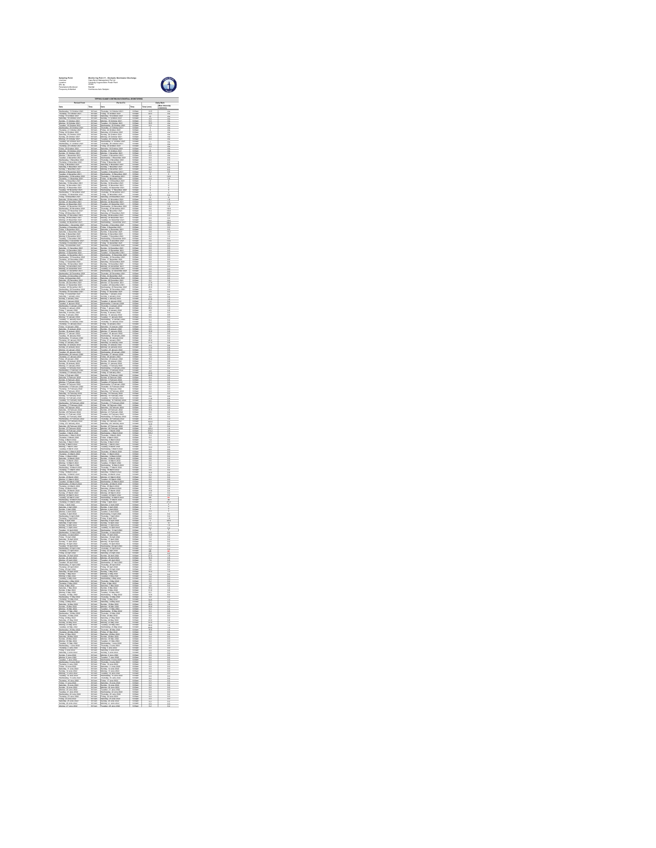| ampung<br>Katikan<br>PL No<br>Waliona | woodsuring Point 11 - Stockpille S<br>Cape Syron Management Pty Ltd<br>Condong Cogeneration Power Plant<br>Rainfall<br>Rainfall<br>$\mathbf 1$ |                                  |                                                                                                                                                                                                                                                                                             |                                                                                                                                                                                                                                |                    |  |  |  |
|---------------------------------------|------------------------------------------------------------------------------------------------------------------------------------------------|----------------------------------|---------------------------------------------------------------------------------------------------------------------------------------------------------------------------------------------------------------------------------------------------------------------------------------------|--------------------------------------------------------------------------------------------------------------------------------------------------------------------------------------------------------------------------------|--------------------|--|--|--|
|                                       |                                                                                                                                                | Period To                        |                                                                                                                                                                                                                                                                                             |                                                                                                                                                                                                                                |                    |  |  |  |
|                                       |                                                                                                                                                | Date<br>That<br>Single<br>Single |                                                                                                                                                                                                                                                                                             | 14                                                                                                                                                                                                                             | ily Rain<br>Mas In |  |  |  |
|                                       | $rac{1}{200}$                                                                                                                                  | 140                              | $\begin{array}{c} 0.014 \\ 0.024 \\ 0.034 \\ 0.034 \\ 0.034 \\ 0.034 \\ 0.034 \\ 0.034 \end{array}$                                                                                                                                                                                         | à                                                                                                                                                                                                                              |                    |  |  |  |
|                                       |                                                                                                                                                |                                  |                                                                                                                                                                                                                                                                                             |                                                                                                                                                                                                                                |                    |  |  |  |
|                                       | 901am<br>901am<br>901am<br>901am<br>901am                                                                                                      |                                  |                                                                                                                                                                                                                                                                                             | 品語には                                                                                                                                                                                                                           |                    |  |  |  |
|                                       |                                                                                                                                                |                                  |                                                                                                                                                                                                                                                                                             |                                                                                                                                                                                                                                | $\frac{1}{12}$     |  |  |  |
|                                       |                                                                                                                                                |                                  | $rac{6.0043}{0.043}$                                                                                                                                                                                                                                                                        | ă                                                                                                                                                                                                                              | $\frac{1}{12}$     |  |  |  |
|                                       |                                                                                                                                                |                                  | $\begin{array}{l} 0.0048 \\ 0.0048 \\ 0.0048 \\ 0.0048 \\ 0.0048 \\ 0.0048 \\ 0.0048 \end{array}$                                                                                                                                                                                           | i                                                                                                                                                                                                                              |                    |  |  |  |
|                                       |                                                                                                                                                |                                  |                                                                                                                                                                                                                                                                                             |                                                                                                                                                                                                                                |                    |  |  |  |
|                                       |                                                                                                                                                |                                  | $\begin{array}{r} 1.0043 \\ 0.0043 \\ 0.0043 \\ 0.0043 \\ 0.0043 \\ \end{array}$                                                                                                                                                                                                            | ii<br>H                                                                                                                                                                                                                        |                    |  |  |  |
|                                       | $\begin{array}{c}\n0.074 \\ 0.074 \\ 0.074 \\ 0.074 \\ 0.074 \\ 0.074 \\ 0.074\n\end{array}$                                                   |                                  | 9:00am<br>9:00am<br>9:00am<br>9:00am                                                                                                                                                                                                                                                        |                                                                                                                                                                                                                                |                    |  |  |  |
|                                       |                                                                                                                                                |                                  |                                                                                                                                                                                                                                                                                             | û                                                                                                                                                                                                                              | ů                  |  |  |  |
|                                       | 901am<br>901am<br>901am<br>901am<br>901am                                                                                                      |                                  | 9 00am<br>9 00am<br>9 00am<br>9 00am<br>9 00am<br>9 00am                                                                                                                                                                                                                                    | ĵ                                                                                                                                                                                                                              | î                  |  |  |  |
|                                       |                                                                                                                                                |                                  |                                                                                                                                                                                                                                                                                             | $\frac{1}{12}$                                                                                                                                                                                                                 | $\frac{1}{12}$     |  |  |  |
|                                       | 30144<br>30144<br>30144<br>30144 30144<br>30144 30144                                                                                          |                                  | $rac{6.0043}{0.043}$                                                                                                                                                                                                                                                                        |                                                                                                                                                                                                                                | ÷                  |  |  |  |
|                                       |                                                                                                                                                |                                  | $\begin{array}{r} 0.0041 \\ 0.0041 \\ 0.0041 \\ 0.0041 \\ 0.0041 \\ 0.0041 \\ 0.0041 \\ 0.0041 \\ 0.0041 \\ 0.0041 \\ 0.0041 \\ 0.0041 \\ 0.0041 \\ 0.0041 \\ 0.0041 \\ 0.0041 \\ 0.0041 \\ 0.0041 \\ 0.0041 \\ 0.0041 \\ 0.0041 \\ 0.0041 \\ 0.0041 \\ 0.0041 \\ 0.0041 \\ 0.0041 \\ 0.00$ | 147222                                                                                                                                                                                                                         | 芸芸                 |  |  |  |
|                                       |                                                                                                                                                |                                  |                                                                                                                                                                                                                                                                                             |                                                                                                                                                                                                                                |                    |  |  |  |
|                                       |                                                                                                                                                |                                  | 6 What<br>9 DDan<br>9 DDan<br>9 DDan                                                                                                                                                                                                                                                        |                                                                                                                                                                                                                                | <b>EXAMPLE</b>     |  |  |  |
|                                       | $\frac{9.054}{9.054}$                                                                                                                          |                                  | 9 00an<br>9 00an<br>9 00an                                                                                                                                                                                                                                                                  |                                                                                                                                                                                                                                |                    |  |  |  |
|                                       |                                                                                                                                                |                                  |                                                                                                                                                                                                                                                                                             |                                                                                                                                                                                                                                |                    |  |  |  |
|                                       | 901am<br>901am<br>901am<br>901am<br>901am                                                                                                      |                                  | 9 00am<br>9 00am<br>9 00am<br>9 00am<br>9 00am<br>9 00am                                                                                                                                                                                                                                    | $A + 0.4$<br>$A + 0.4$<br>$A + 0.4$<br>$A + 0.4$                                                                                                                                                                               | $\frac{1}{2}$      |  |  |  |
|                                       |                                                                                                                                                |                                  |                                                                                                                                                                                                                                                                                             |                                                                                                                                                                                                                                |                    |  |  |  |
|                                       | $rac{1}{2}$                                                                                                                                    |                                  | $rac{6.0043}{0.043}$                                                                                                                                                                                                                                                                        |                                                                                                                                                                                                                                |                    |  |  |  |
|                                       | 9.0 m<br>9.0 m<br>9.0 m<br>9.0 m<br>9.0 m<br>9.0 m                                                                                             |                                  | $\begin{array}{l} 0.0048 \\ 0.0048 \\ 0.0048 \\ 0.0048 \\ 0.0048 \\ 0.0048 \\ 0.0048 \end{array}$                                                                                                                                                                                           | in a series                                                                                                                                                                                                                    |                    |  |  |  |
|                                       |                                                                                                                                                |                                  |                                                                                                                                                                                                                                                                                             |                                                                                                                                                                                                                                |                    |  |  |  |
|                                       | $rac{1}{100}$                                                                                                                                  |                                  | $rac{1}{8}$                                                                                                                                                                                                                                                                                 |                                                                                                                                                                                                                                |                    |  |  |  |
|                                       | $\frac{9.054}{9.054}$                                                                                                                          |                                  | 9:00am<br>9:00am<br>9:00am<br>9:00am                                                                                                                                                                                                                                                        | Ë                                                                                                                                                                                                                              | <b>ENGINEER</b>    |  |  |  |
|                                       |                                                                                                                                                |                                  |                                                                                                                                                                                                                                                                                             | H                                                                                                                                                                                                                              |                    |  |  |  |
|                                       | 901am<br>901am<br>901am<br>901am<br>901am                                                                                                      |                                  | 9 00am<br>9 00am<br>9 00am<br>9 00am<br>9 00am<br>9 00am                                                                                                                                                                                                                                    | <b>ESSED</b>                                                                                                                                                                                                                   | <b>112222</b>      |  |  |  |
|                                       |                                                                                                                                                |                                  |                                                                                                                                                                                                                                                                                             |                                                                                                                                                                                                                                |                    |  |  |  |
|                                       |                                                                                                                                                |                                  |                                                                                                                                                                                                                                                                                             | 1.4 2.4 2.5                                                                                                                                                                                                                    |                    |  |  |  |
|                                       | amar<br>901an<br>901an<br>901an<br>901an<br>901an                                                                                              |                                  |                                                                                                                                                                                                                                                                                             |                                                                                                                                                                                                                                |                    |  |  |  |
|                                       |                                                                                                                                                |                                  |                                                                                                                                                                                                                                                                                             | ä                                                                                                                                                                                                                              | 计算法计算法             |  |  |  |
|                                       | $rac{1}{100}$                                                                                                                                  |                                  | $\frac{1}{1000}$                                                                                                                                                                                                                                                                            |                                                                                                                                                                                                                                |                    |  |  |  |
|                                       | $\begin{array}{c}\n0.074 \\ 0.074 \\ 0.074 \\ 0.074 \\ 0.074 \\ 0.074 \\ 0.074\n\end{array}$                                                   |                                  | 9 00an<br>9 00an<br>9 00an                                                                                                                                                                                                                                                                  | $\frac{1}{2}$                                                                                                                                                                                                                  | 1122年11月           |  |  |  |
|                                       |                                                                                                                                                |                                  |                                                                                                                                                                                                                                                                                             |                                                                                                                                                                                                                                |                    |  |  |  |
|                                       |                                                                                                                                                |                                  |                                                                                                                                                                                                                                                                                             |                                                                                                                                                                                                                                |                    |  |  |  |
|                                       | 901am<br>901am<br>901am<br>901am<br>901am                                                                                                      |                                  | 9 00am<br>9 00am<br>9 00am<br>9 00am<br>9 00am<br>9 00am                                                                                                                                                                                                                                    | š                                                                                                                                                                                                                              |                    |  |  |  |
|                                       |                                                                                                                                                |                                  |                                                                                                                                                                                                                                                                                             | a.                                                                                                                                                                                                                             |                    |  |  |  |
|                                       | $\frac{8 \text{mu}}{801 \text{mu}}$                                                                                                            |                                  | $rac{6.0043}{0.043}$                                                                                                                                                                                                                                                                        |                                                                                                                                                                                                                                | <b>EXAMPLE</b>     |  |  |  |
|                                       | $\begin{array}{c} 0.0748 \\ 0.0748 \\ 0.0748 \\ 0.0748 \\ 0.0748 \\ 0.0148 \\ 0.0148 \\ \end{array}$                                           |                                  | $\begin{array}{l} 0.0048 \\ 0.0048 \\ 0.0048 \\ 0.0048 \\ 0.0048 \\ 0.0048 \\ 0.0048 \end{array}$                                                                                                                                                                                           | 22322                                                                                                                                                                                                                          |                    |  |  |  |
|                                       | $rac{1}{100}$                                                                                                                                  |                                  | i oou                                                                                                                                                                                                                                                                                       | Ë                                                                                                                                                                                                                              |                    |  |  |  |
|                                       |                                                                                                                                                |                                  |                                                                                                                                                                                                                                                                                             |                                                                                                                                                                                                                                |                    |  |  |  |
|                                       | $\frac{9.054}{9.054}$                                                                                                                          |                                  | 9 00an<br>9 00an<br>9 00an                                                                                                                                                                                                                                                                  | ă                                                                                                                                                                                                                              |                    |  |  |  |
|                                       | 901am<br>901am<br>901am<br>901am<br>901am                                                                                                      |                                  |                                                                                                                                                                                                                                                                                             | 11日 12日 12日 12日                                                                                                                                                                                                                | <b>MANUFACTURE</b> |  |  |  |
|                                       |                                                                                                                                                |                                  |                                                                                                                                                                                                                                                                                             |                                                                                                                                                                                                                                |                    |  |  |  |
|                                       |                                                                                                                                                |                                  |                                                                                                                                                                                                                                                                                             | 135.                                                                                                                                                                                                                           |                    |  |  |  |
|                                       |                                                                                                                                                |                                  |                                                                                                                                                                                                                                                                                             | <b>EXECUTE</b>                                                                                                                                                                                                                 | <b>RESIDENT</b>    |  |  |  |
|                                       |                                                                                                                                                |                                  |                                                                                                                                                                                                                                                                                             |                                                                                                                                                                                                                                |                    |  |  |  |
|                                       | $rac{1}{100}$                                                                                                                                  |                                  | $rac{1}{8}$<br>$rac{1}{204}$<br>$rac{1}{204}$                                                                                                                                                                                                                                               |                                                                                                                                                                                                                                |                    |  |  |  |
|                                       |                                                                                                                                                |                                  |                                                                                                                                                                                                                                                                                             | 122221244                                                                                                                                                                                                                      | <b>1122112</b>     |  |  |  |
|                                       | $\frac{9.054}{9.054}$                                                                                                                          |                                  | 9 00an<br>9 00an<br>9 00an                                                                                                                                                                                                                                                                  |                                                                                                                                                                                                                                |                    |  |  |  |
|                                       | 901am<br>901am<br>901am<br>901am<br>901am                                                                                                      |                                  | 9 00am<br>9 00am<br>9 00am<br>9 00am<br>9 00am<br>9 00am                                                                                                                                                                                                                                    |                                                                                                                                                                                                                                |                    |  |  |  |
|                                       |                                                                                                                                                |                                  |                                                                                                                                                                                                                                                                                             | 苔丝苔                                                                                                                                                                                                                            |                    |  |  |  |
|                                       |                                                                                                                                                |                                  |                                                                                                                                                                                                                                                                                             | $\frac{1}{1}$                                                                                                                                                                                                                  |                    |  |  |  |
|                                       | $\frac{4 \text{ M} \cdot \text{M}}{8 \text{ M} \cdot \text{M}}$                                                                                |                                  | $rac{6.0043}{0.043}$                                                                                                                                                                                                                                                                        |                                                                                                                                                                                                                                | Ë                  |  |  |  |
|                                       | $rac{1}{2}$ (max)<br>$rac{1}{2}$ (max)<br>$rac{1}{2}$ (max)<br>$rac{1}{2}$ (max)                                                               |                                  | $+ 00a$                                                                                                                                                                                                                                                                                     | $-11.8$                                                                                                                                                                                                                        | 品                  |  |  |  |
|                                       |                                                                                                                                                |                                  | i oou                                                                                                                                                                                                                                                                                       |                                                                                                                                                                                                                                |                    |  |  |  |
|                                       |                                                                                                                                                |                                  |                                                                                                                                                                                                                                                                                             | 哲学                                                                                                                                                                                                                             |                    |  |  |  |
|                                       | $\begin{array}{c} 0.0746 \\ 0.0746 \\ 0.0746 \\ 0.0746 \\ 0.0746 \end{array}$                                                                  |                                  | 9:00am<br>9:00am<br>9:00am<br>9:00am                                                                                                                                                                                                                                                        | ů                                                                                                                                                                                                                              | 山口口口口口             |  |  |  |
|                                       |                                                                                                                                                |                                  | $\frac{9.004}{2004}$                                                                                                                                                                                                                                                                        | i<br>11                                                                                                                                                                                                                        | 上海道                |  |  |  |
|                                       | 9 01am<br>9 01am<br>9 01am<br>9 01am<br>9 01am<br>9 01am                                                                                       |                                  | s Wan<br>9 DDan<br>9 DDan                                                                                                                                                                                                                                                                   | in the second second to the second second to the second second to the control of the second second to the second second second to the second second second to the second second second second second second second second seco | Ë                  |  |  |  |
|                                       |                                                                                                                                                |                                  |                                                                                                                                                                                                                                                                                             |                                                                                                                                                                                                                                |                    |  |  |  |
|                                       |                                                                                                                                                |                                  |                                                                                                                                                                                                                                                                                             |                                                                                                                                                                                                                                |                    |  |  |  |
|                                       | a mar<br>9 01am<br>9 01am                                                                                                                      |                                  | - MORT<br>6 Maar<br>9 DDan<br>9 DDan                                                                                                                                                                                                                                                        | <b>BELLEY</b>                                                                                                                                                                                                                  |                    |  |  |  |
|                                       |                                                                                                                                                |                                  | 6 1044<br>9 2044<br>9 2044<br>9 2044                                                                                                                                                                                                                                                        |                                                                                                                                                                                                                                |                    |  |  |  |
|                                       |                                                                                                                                                |                                  |                                                                                                                                                                                                                                                                                             |                                                                                                                                                                                                                                |                    |  |  |  |
|                                       | 9014                                                                                                                                           |                                  | 9 00an<br>9 00an<br>9 00an                                                                                                                                                                                                                                                                  | ă                                                                                                                                                                                                                              |                    |  |  |  |
|                                       | 901am<br>901am<br>901am<br>901am<br>901am<br>901am<br>901am                                                                                    |                                  |                                                                                                                                                                                                                                                                                             |                                                                                                                                                                                                                                |                    |  |  |  |
|                                       |                                                                                                                                                |                                  |                                                                                                                                                                                                                                                                                             | i                                                                                                                                                                                                                              | ii an an air       |  |  |  |
|                                       |                                                                                                                                                |                                  | 200                                                                                                                                                                                                                                                                                         | 52                                                                                                                                                                                                                             |                    |  |  |  |
|                                       |                                                                                                                                                |                                  |                                                                                                                                                                                                                                                                                             |                                                                                                                                                                                                                                | ii<br>U            |  |  |  |
|                                       | 901am<br>901am<br>901am<br>901am<br>901am<br>901am<br>901am                                                                                    |                                  |                                                                                                                                                                                                                                                                                             | 10 14 11 12 22                                                                                                                                                                                                                 | H                  |  |  |  |
|                                       | $\frac{4754}{80746}$                                                                                                                           |                                  |                                                                                                                                                                                                                                                                                             |                                                                                                                                                                                                                                |                    |  |  |  |
|                                       |                                                                                                                                                |                                  |                                                                                                                                                                                                                                                                                             | 第2巻                                                                                                                                                                                                                            |                    |  |  |  |
|                                       | $\frac{9.054}{9.0544}$                                                                                                                         |                                  | 9 00am<br>9 00am<br>9 00am<br>9 00am                                                                                                                                                                                                                                                        |                                                                                                                                                                                                                                |                    |  |  |  |
|                                       | 901am<br>901am<br>901am<br>901am<br>901am<br>901am<br>901am                                                                                    |                                  |                                                                                                                                                                                                                                                                                             |                                                                                                                                                                                                                                |                    |  |  |  |
|                                       |                                                                                                                                                |                                  |                                                                                                                                                                                                                                                                                             | $rac{1}{44}$<br>$rac{1}{44}$<br>$rac{1}{44}$                                                                                                                                                                                   | $\frac{1}{2}$      |  |  |  |
|                                       |                                                                                                                                                |                                  | 200                                                                                                                                                                                                                                                                                         | 23                                                                                                                                                                                                                             |                    |  |  |  |
|                                       | 901am<br>901am<br>901am<br>901am<br>901am<br>901am                                                                                             |                                  |                                                                                                                                                                                                                                                                                             | Ë                                                                                                                                                                                                                              |                    |  |  |  |
|                                       |                                                                                                                                                |                                  |                                                                                                                                                                                                                                                                                             | 14<br>14<br>14<br>14                                                                                                                                                                                                           |                    |  |  |  |
|                                       |                                                                                                                                                |                                  |                                                                                                                                                                                                                                                                                             |                                                                                                                                                                                                                                |                    |  |  |  |
|                                       | $\frac{1}{2014}$                                                                                                                               |                                  | 6 1044<br>9 2044<br>9 2044<br>9 2044                                                                                                                                                                                                                                                        |                                                                                                                                                                                                                                |                    |  |  |  |
|                                       | $\frac{9.054}{9.0544}$                                                                                                                         |                                  | 9 00an<br>9 00an<br>9 00an                                                                                                                                                                                                                                                                  | $\frac{41}{44}$<br>$\frac{44}{44}$<br>$\frac{44}{44}$                                                                                                                                                                          |                    |  |  |  |
|                                       | 9.01ac<br>9.01ac<br>9.01ac<br>9.01ac                                                                                                           |                                  | 9 00an<br>9 00an<br>9 00an<br>9 00an                                                                                                                                                                                                                                                        | $\frac{1}{42}$                                                                                                                                                                                                                 | 蒜                  |  |  |  |
|                                       |                                                                                                                                                |                                  |                                                                                                                                                                                                                                                                                             |                                                                                                                                                                                                                                |                    |  |  |  |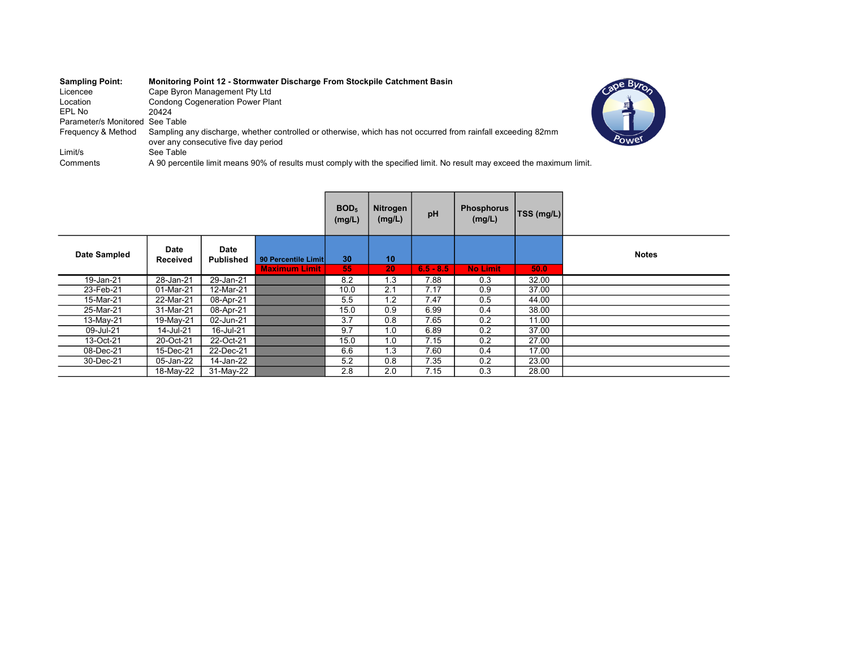| <b>Sampling Point:</b><br>Licencee<br>Location<br>EPL No<br>Parameter/s Monitored See Table | Monitoring Point 12 - Stormwater Discharge From Stockpile Catchment Basin<br>Cape Byron Management Pty Ltd<br><b>Condong Cogeneration Power Plant</b><br>20424 |  |
|---------------------------------------------------------------------------------------------|----------------------------------------------------------------------------------------------------------------------------------------------------------------|--|
| Frequency & Method                                                                          | Sampling any discharge, whether controlled or otherwise, which has not occurred from rainfall exceeding 82mm<br>over any consecutive five day period           |  |
| Limit/s                                                                                     | See Table                                                                                                                                                      |  |
| Comments                                                                                    | A 90 percentile limit means 90% of results must comply with the specified limit. No result may exceed the maximum limit.                                       |  |

|              |                         |                                 |                                             | BOD <sub>5</sub><br>(mg/L) | Nitrogen<br>(mg/L) | pH          | <b>Phosphorus</b><br>(mg/L) | TSS (mg/L) |              |
|--------------|-------------------------|---------------------------------|---------------------------------------------|----------------------------|--------------------|-------------|-----------------------------|------------|--------------|
| Date Sampled | Date<br><b>Received</b> | <b>Date</b><br><b>Published</b> | 90 Percentile Limit<br><b>Maximum Limit</b> | 30<br>55                   | 10<br>20           | $6.5 - 8.5$ | <b>No Limit</b>             | 50.0       | <b>Notes</b> |
| 19-Jan-21    | 28-Jan-21               | 29-Jan-21                       |                                             | 8.2                        | 1.3                | 7.88        | 0.3                         | 32.00      |              |
| 23-Feb-21    | 01-Mar-21               | 12-Mar-21                       |                                             | 10.0                       | 2.1                | 7.17        | 0.9                         | 37.00      |              |
| 15-Mar-21    | 22-Mar-21               | 08-Apr-21                       |                                             | 5.5                        | 1.2                | 7.47        | 0.5                         | 44.00      |              |
| 25-Mar-21    | 31-Mar-21               | 08-Apr-21                       |                                             | 15.0                       | 0.9                | 6.99        | 0.4                         | 38.00      |              |
| 13-May-21    | 19-May-21               | 02-Jun-21                       |                                             | 3.7                        | 0.8                | 7.65        | 0.2                         | 11.00      |              |
| 09-Jul-21    | 14-Jul-21               | 16-Jul-21                       |                                             | 9.7                        | 1.0                | 6.89        | 0.2                         | 37.00      |              |
| 13-Oct-21    | 20-Oct-21               | 22-Oct-21                       |                                             | 15.0                       | 1.0                | 7.15        | 0.2                         | 27.00      |              |
| 08-Dec-21    | 15-Dec-21               | 22-Dec-21                       |                                             | 6.6                        | 1.3                | 7.60        | 0.4                         | 17.00      |              |
| 30-Dec-21    | 05-Jan-22               | 14-Jan-22                       |                                             | 5.2                        | 0.8                | 7.35        | 0.2                         | 23.00      |              |
|              | 18-May-22               | 31-May-22                       |                                             | 2.8                        | 2.0                | 7.15        | 0.3                         | 28.00      |              |